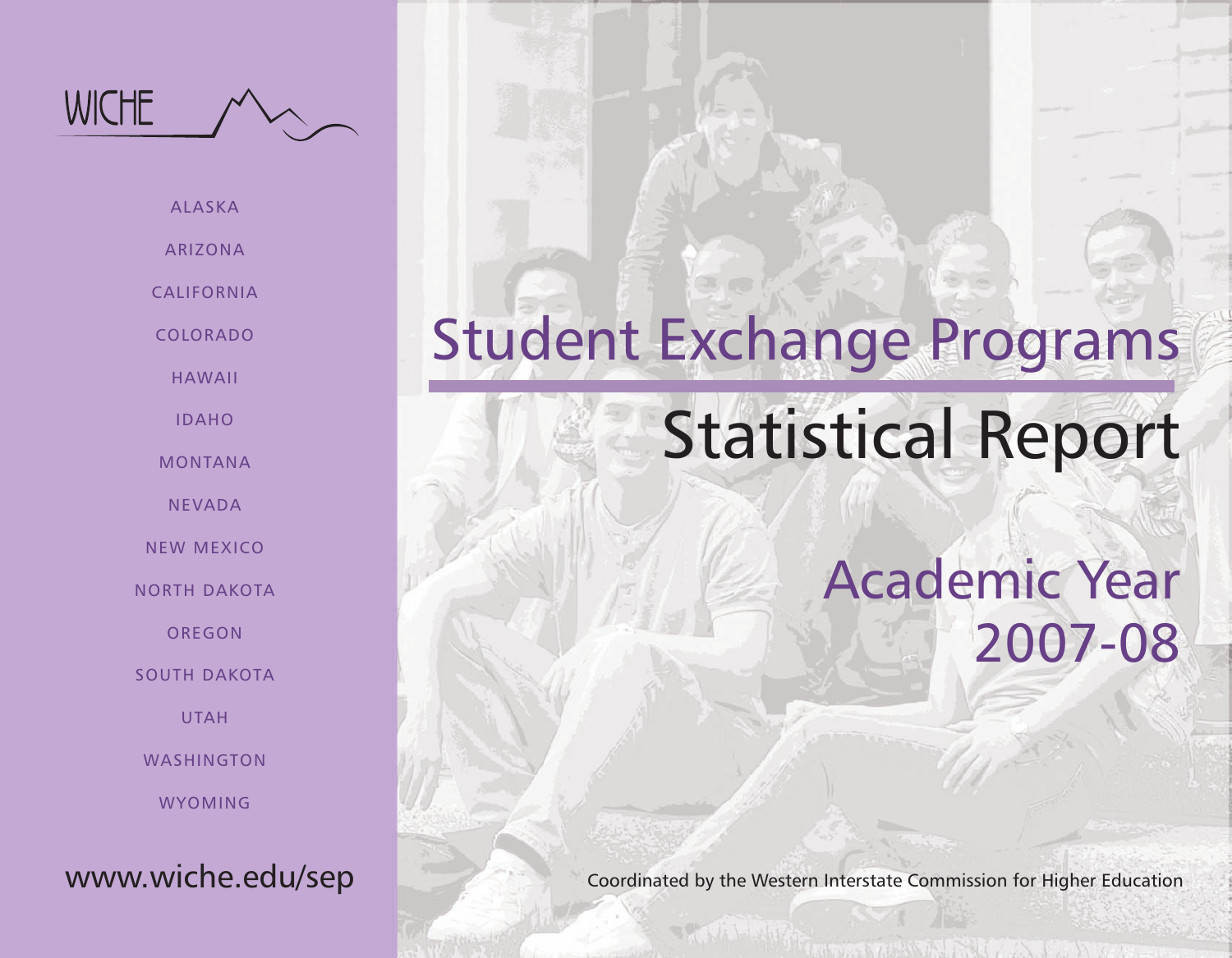

ALASKA

ARIZONA

CALIFORNIA

COLORADO

HAWAII

IDAHO

MONTANA

NEVADA

NEW MEXICO

NORTH DAKOTA

OREGON

SOUTH DAKOTA

UTAH

WASHINGTON

WYOMING

# www.wiche.edu/sep

# Student Exchange Programs

# Statistical Report

Academic Year 2007-08

Coordinated by the Western Interstate Commission for Higher Education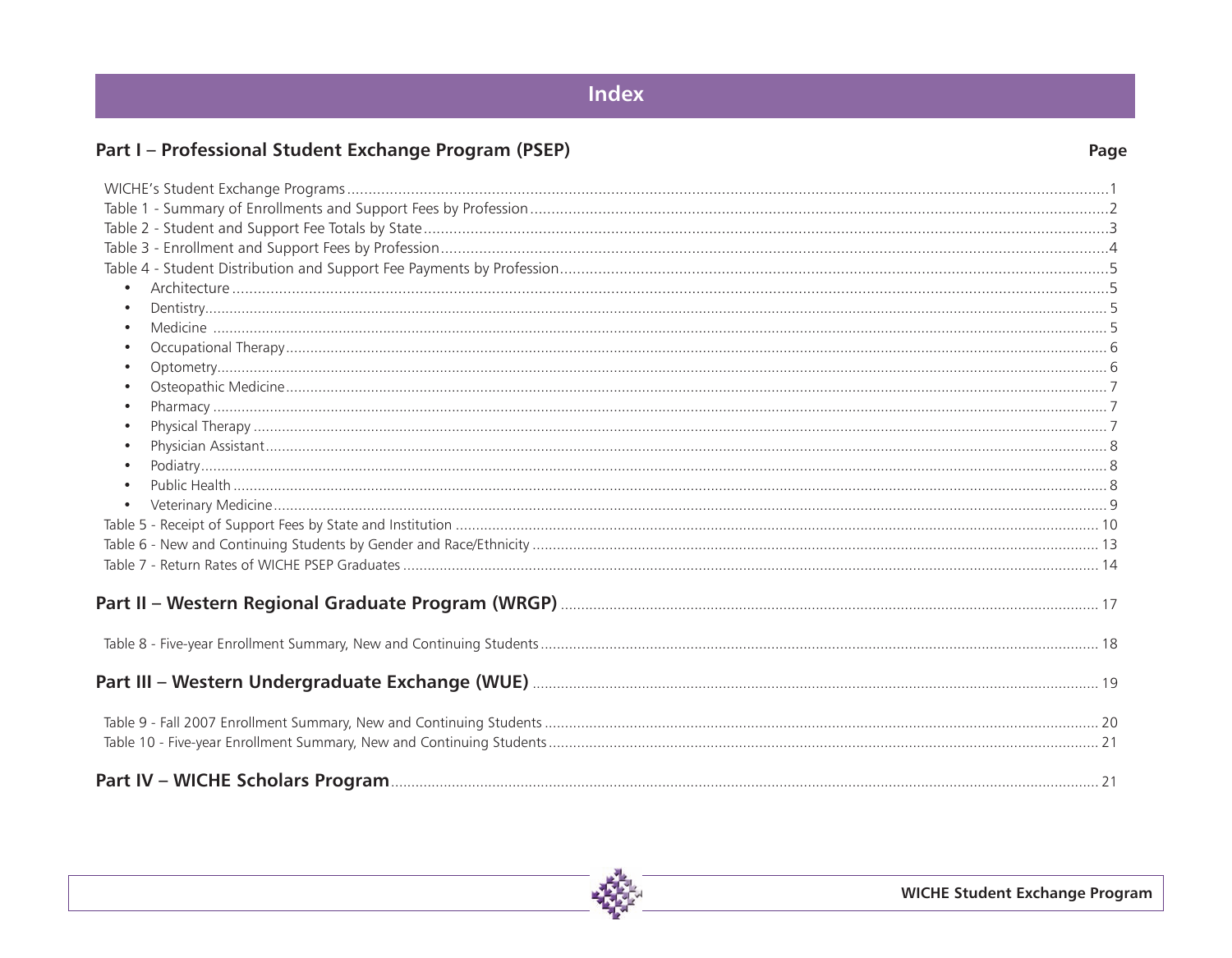# Index

# Part I - Professional Student Exchange Program (PSEP)

| $\bullet$ |  |
|-----------|--|
|           |  |
| $\bullet$ |  |
| $\bullet$ |  |
|           |  |
| $\bullet$ |  |
| $\bullet$ |  |
| $\bullet$ |  |
| $\bullet$ |  |
| $\bullet$ |  |
| $\bullet$ |  |
|           |  |
|           |  |
|           |  |
|           |  |
|           |  |
|           |  |
|           |  |
|           |  |
|           |  |
|           |  |
|           |  |
|           |  |
|           |  |
|           |  |

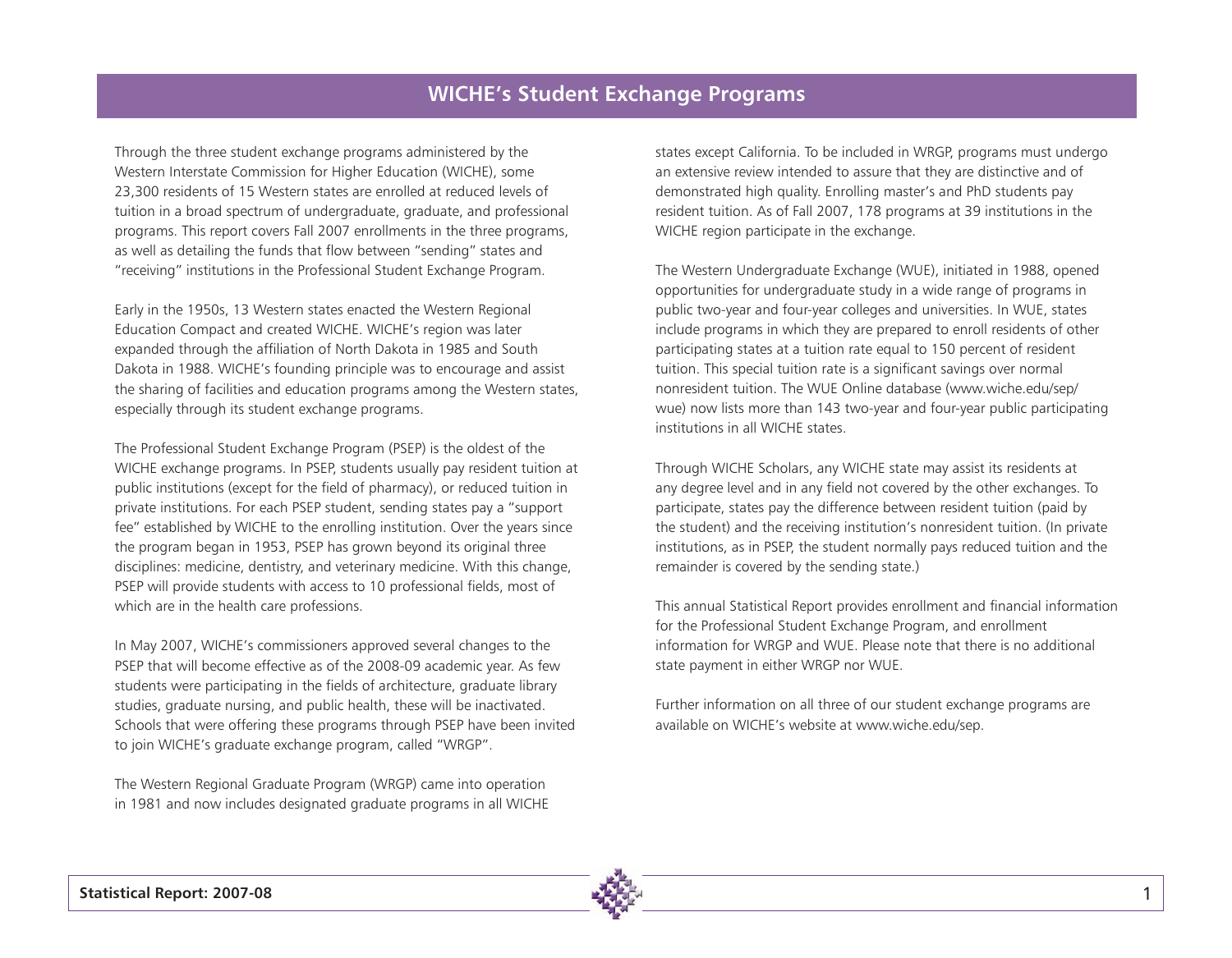### **WICHE's Student Exchange Programs**

Through the three student exchange programs administered by the Western Interstate Commission for Higher Education (WICHE), some 23,300 residents of 15 Western states are enrolled at reduced levels of tuition in a broad spectrum of undergraduate, graduate, and professional programs. This report covers Fall 2007 enrollments in the three programs, as well as detailing the funds that flow between "sending" states and "receiving" institutions in the Professional Student Exchange Program.

Early in the 1950s, 13 Western states enacted the Western Regional Education Compact and created WICHE. WICHE's region was later expanded through the affiliation of North Dakota in 1985 and South Dakota in 1988. WICHE's founding principle was to encourage and assist the sharing of facilities and education programs among the Western states, especially through its student exchange programs.

The Professional Student Exchange Program (PSEP) is the oldest of the WICHE exchange programs. In PSEP, students usually pay resident tuition at public institutions (except for the field of pharmacy), or reduced tuition in private institutions. For each PSEP student, sending states pay a "support fee" established by WICHE to the enrolling institution. Over the years since the program began in 1953, PSEP has grown beyond its original three disciplines: medicine, dentistry, and veterinary medicine. With this change, PSEP will provide students with access to 10 professional fields, most of which are in the health care professions.

In May 2007, WICHE's commissioners approved several changes to the PSEP that will become effective as of the 2008-09 academic year. As few students were participating in the fields of architecture, graduate library studies, graduate nursing, and public health, these will be inactivated. Schools that were offering these programs through PSEP have been invited to join WICHE's graduate exchange program, called "WRGP".

The Western Regional Graduate Program (WRGP) came into operation in 1981 and now includes designated graduate programs in all WICHE

states except California. To be included in WRGP, programs must undergo an extensive review intended to assure that they are distinctive and of demonstrated high quality. Enrolling master's and PhD students pay resident tuition. As of Fall 2007, 178 programs at 39 institutions in the WICHE region participate in the exchange.

The Western Undergraduate Exchange (WUE), initiated in 1988, opened opportunities for undergraduate study in a wide range of programs in public two-year and four-year colleges and universities. In WUE, states include programs in which they are prepared to enroll residents of other participating states at a tuition rate equal to 150 percent of resident tuition. This special tuition rate is a significant savings over normal nonresident tuition. The WUE Online database (www.wiche.edu/sep/ wue) now lists more than 143 two-year and four-year public participating institutions in all WICHE states.

Through WICHE Scholars, any WICHE state may assist its residents at any degree level and in any field not covered by the other exchanges. To participate, states pay the difference between resident tuition (paid by the student) and the receiving institution's nonresident tuition. (In private institutions, as in PSEP, the student normally pays reduced tuition and the remainder is covered by the sending state.)

This annual Statistical Report provides enrollment and financial information for the Professional Student Exchange Program, and enrollment information for WRGP and WUE. Please note that there is no additional state payment in either WRGP nor WUE.

Further information on all three of our student exchange programs are available on WICHE's website at www.wiche.edu/sep.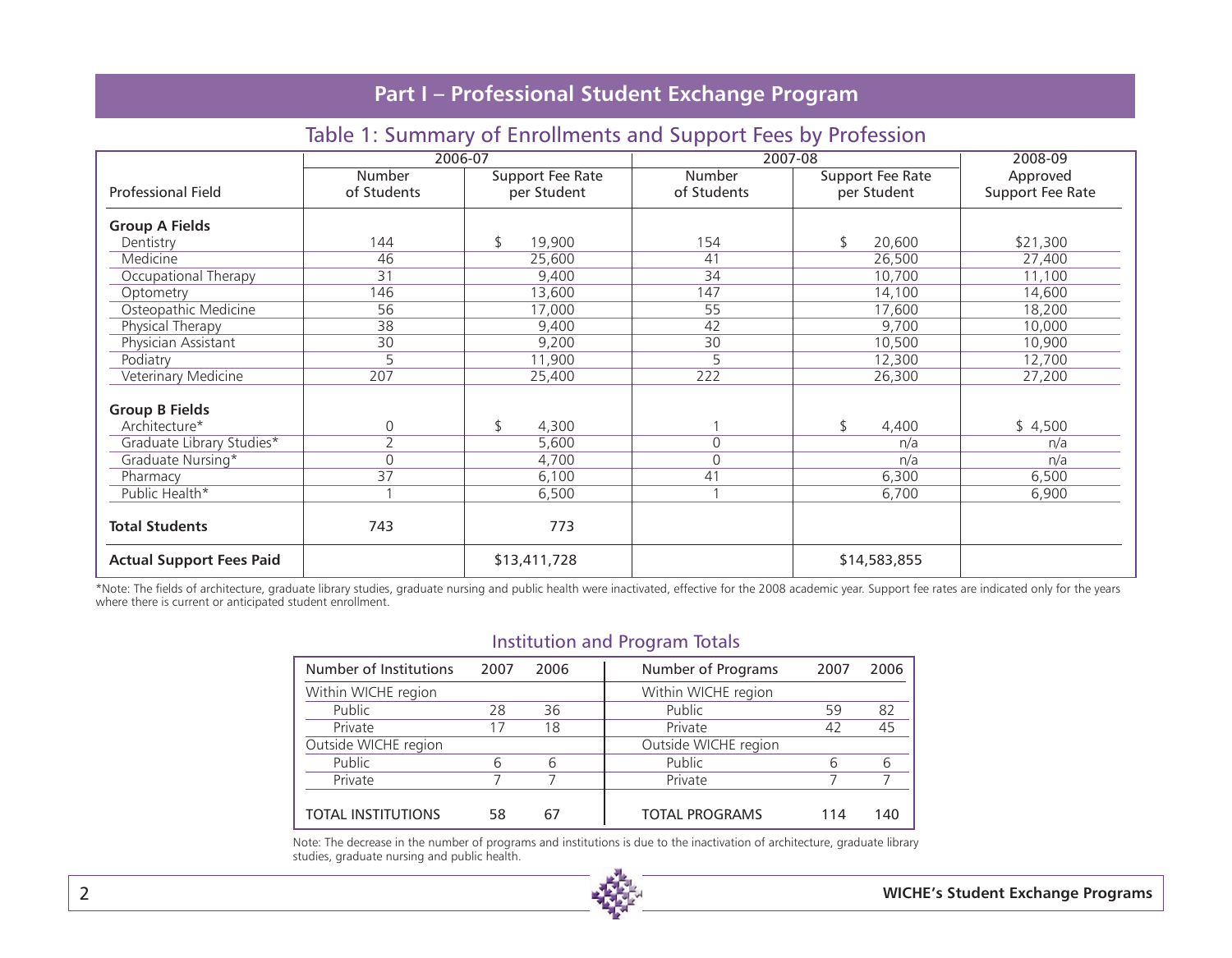### Table 1: Summary of Enrollments and Support Fees by Profession

|                                 |                       | 2006-07                         |                       | 2007-08                         | 2008-09                      |
|---------------------------------|-----------------------|---------------------------------|-----------------------|---------------------------------|------------------------------|
| <b>Professional Field</b>       | Number<br>of Students | Support Fee Rate<br>per Student | Number<br>of Students | Support Fee Rate<br>per Student | Approved<br>Support Fee Rate |
| <b>Group A Fields</b>           |                       |                                 |                       |                                 |                              |
| Dentistry                       | 144                   | 19,900<br>\$                    | 154                   | 20,600<br>\$                    | \$21,300                     |
| Medicine                        | 46                    | 25,600                          | 41                    | 26,500                          | 27,400                       |
| Occupational Therapy            | 31                    | 9,400                           | 34                    | 10,700                          | 11,100                       |
| Optometry                       | 146                   | 13,600                          | 147                   | 14,100                          | 14,600                       |
| Osteopathic Medicine            | 56                    | 17,000                          | 55                    | 17,600                          | 18,200                       |
| Physical Therapy                | 38                    | 9,400                           | 42                    | 9,700                           | 10,000                       |
| Physician Assistant             | 30                    | 9,200                           | 30                    | 10,500                          | 10,900                       |
| Podiatry                        | 5                     | 11,900                          | 5                     | 12,300                          | 12,700                       |
| Veterinary Medicine             | 207                   | 25,400                          | 222                   | 26,300                          | 27,200                       |
| <b>Group B Fields</b>           |                       |                                 |                       |                                 |                              |
| Architecture*                   | 0                     | \$<br>4,300                     |                       | \$<br>4,400                     | \$4,500                      |
| Graduate Library Studies*       | $\overline{2}$        | 5,600                           | $\Omega$              | n/a                             | n/a                          |
| Graduate Nursing*               | 0                     | 4,700                           | $\mathbf{0}$          | n/a                             | n/a                          |
| Pharmacy                        | 37                    | 6,100                           | 41                    | 6,300                           | 6,500                        |
| Public Health*                  |                       | 6,500                           |                       | 6,700                           | 6,900                        |
| <b>Total Students</b>           | 743                   | 773                             |                       |                                 |                              |
| <b>Actual Support Fees Paid</b> |                       | \$13,411,728                    |                       | \$14,583,855                    |                              |

\*Note: The fields of architecture, graduate library studies, graduate nursing and public health were inactivated, effective for the 2008 academic year. Support fee rates are indicated only for the years where there is current or anticipated student enrollment.

### Institution and Program Totals

| Number of Institutions    | 2007 | 2006 | Number of Programs    | 2007 | 2006 |
|---------------------------|------|------|-----------------------|------|------|
| Within WICHE region       |      |      | Within WICHE region   |      |      |
| Public                    | 28   | 36   | Public                | 59   | 82   |
| Private                   | 17   | 18   | Private               | 42   | 45   |
| Outside WICHE region      |      |      | Outside WICHE region  |      |      |
| Public                    | 6    | 6    | Public                | 6    | 6    |
| Private                   |      |      | Private               |      |      |
|                           |      |      |                       |      |      |
| <b>TOTAL INSTITUTIONS</b> | 58   | 67   | <b>TOTAL PROGRAMS</b> | 114  | 140  |

Note: The decrease in the number of programs and institutions is due to the inactivation of architecture, graduate library studies, graduate nursing and public health.

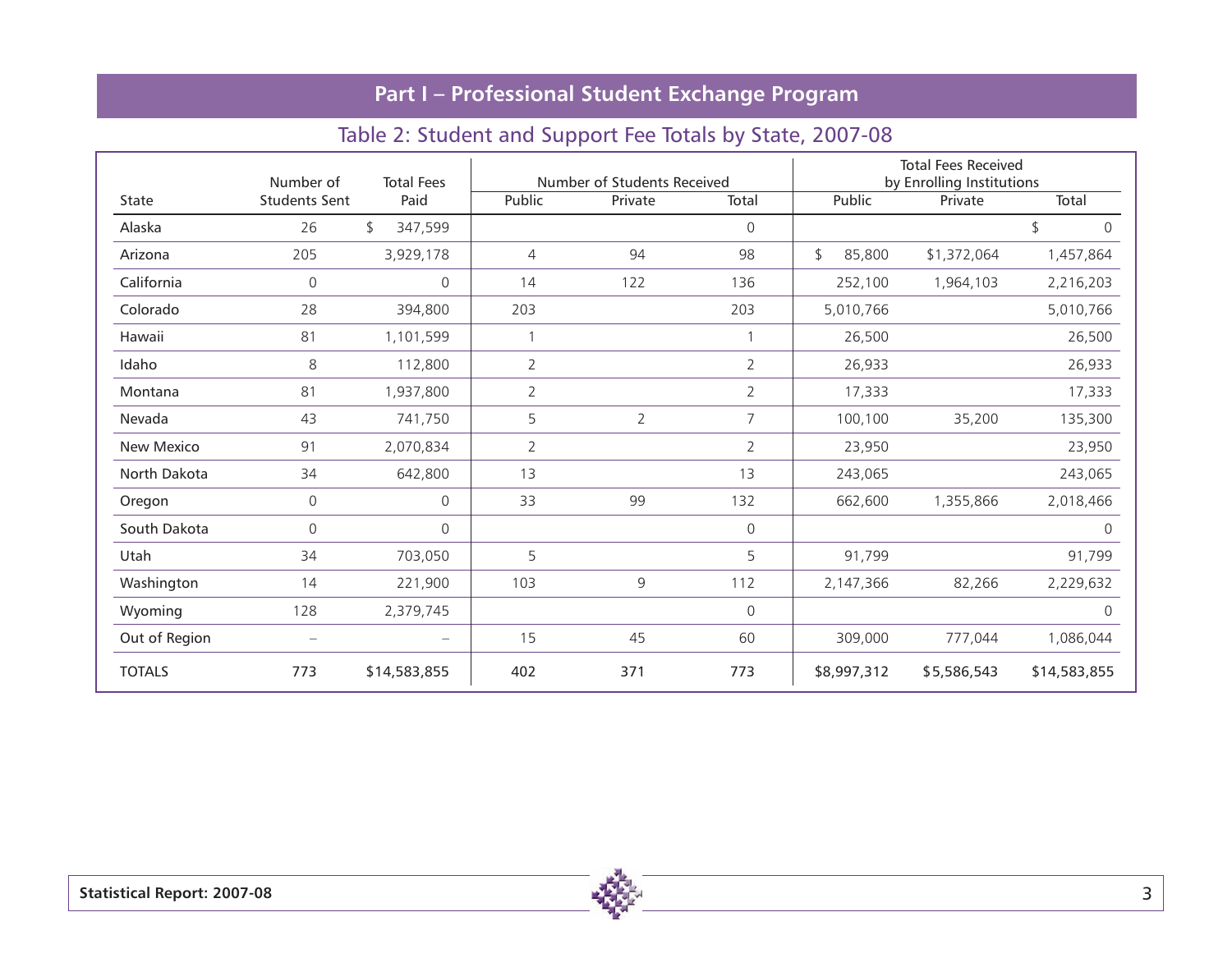# Table 2: Student and Support Fee Totals by State, 2007-08

|               | Number of                | <b>Total Fees</b> |                | Number of Students Received |                |              | <b>Total Fees Received</b><br>by Enrolling Institutions |              |
|---------------|--------------------------|-------------------|----------------|-----------------------------|----------------|--------------|---------------------------------------------------------|--------------|
| <b>State</b>  | <b>Students Sent</b>     | Paid              | Public         | Private                     | Total          | Public       | Private                                                 | Total        |
| Alaska        | 26                       | \$<br>347,599     |                |                             | 0              |              |                                                         | \$<br>0      |
| Arizona       | 205                      | 3,929,178         | 4              | 94                          | 98             | \$<br>85,800 | \$1,372,064                                             | 1,457,864    |
| California    | $\mathsf{O}\xspace$      | $\mathbf 0$       | 14             | 122                         | 136            | 252,100      | 1,964,103                                               | 2,216,203    |
| Colorado      | 28                       | 394,800           | 203            |                             | 203            | 5,010,766    |                                                         | 5,010,766    |
| Hawaii        | 81                       | 1,101,599         |                |                             |                | 26,500       |                                                         | 26,500       |
| Idaho         | 8                        | 112,800           | $\overline{2}$ |                             | 2              | 26,933       |                                                         | 26,933       |
| Montana       | 81                       | 1,937,800         | $\overline{2}$ |                             | $\overline{2}$ | 17,333       |                                                         | 17,333       |
| Nevada        | 43                       | 741,750           | 5              | $\overline{2}$              | $\overline{7}$ | 100,100      | 35,200                                                  | 135,300      |
| New Mexico    | 91                       | 2,070,834         | 2              |                             | $\overline{2}$ | 23,950       |                                                         | 23,950       |
| North Dakota  | 34                       | 642,800           | 13             |                             | 13             | 243,065      |                                                         | 243,065      |
| Oregon        | $\mathsf{O}\xspace$      | $\mathbf{0}$      | 33             | 99                          | 132            | 662,600      | 1,355,866                                               | 2,018,466    |
| South Dakota  | $\mathsf{O}\xspace$      | 0                 |                |                             | 0              |              |                                                         | 0            |
| Utah          | 34                       | 703,050           | 5              |                             | 5              | 91,799       |                                                         | 91,799       |
| Washington    | 14                       | 221,900           | 103            | 9                           | 112            | 2,147,366    | 82,266                                                  | 2,229,632    |
| Wyoming       | 128                      | 2,379,745         |                |                             | $\Omega$       |              |                                                         | $\mathbf{0}$ |
| Out of Region | $\overline{\phantom{0}}$ |                   | 15             | 45                          | 60             | 309,000      | 777,044                                                 | 1,086,044    |
| <b>TOTALS</b> | 773                      | \$14,583,855      | 402            | 371                         | 773            | \$8,997,312  | \$5,586,543                                             | \$14,583,855 |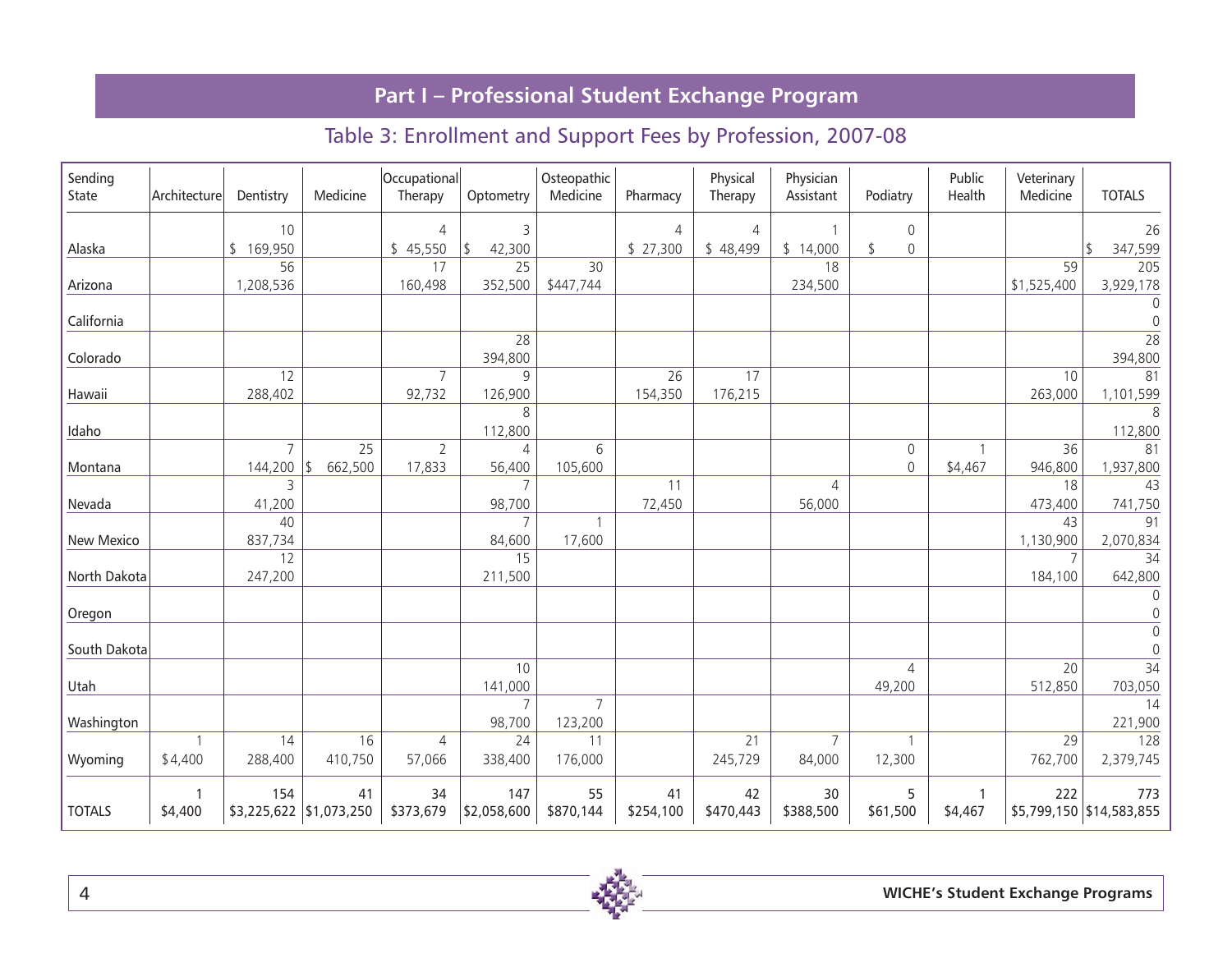# Table 3: Enrollment and Support Fees by Profession, 2007-08

| Sending<br>State | Architecture | Dentistry      | Medicine                | Occupational<br>Therapy | Optometry                | Osteopathic<br>Medicine | Pharmacy  | Physical<br>Therapy | Physician<br>Assistant | Podiatry                                   | Public<br>Health | Veterinary<br>Medicine | <b>TOTALS</b>            |
|------------------|--------------|----------------|-------------------------|-------------------------|--------------------------|-------------------------|-----------|---------------------|------------------------|--------------------------------------------|------------------|------------------------|--------------------------|
|                  |              | 10             |                         | $\overline{4}$          | 3                        |                         | 4         | $\overline{4}$      |                        | 0                                          |                  |                        | 26                       |
| Alaska           |              | \$169,950      |                         | \$45,550                | \$<br>42,300             |                         | \$27,300  | \$48,499            | \$14,000               | \$<br>$\mathsf{O}\xspace$                  |                  |                        | 347,599                  |
|                  |              | 56             |                         | 17                      | 25                       | 30                      |           |                     | 18                     |                                            |                  | 59                     | 205                      |
| Arizona          |              | 1,208,536      |                         | 160,498                 | 352,500                  | \$447,744               |           |                     | 234,500                |                                            |                  | \$1,525,400            | 3,929,178                |
|                  |              |                |                         |                         |                          |                         |           |                     |                        |                                            |                  |                        | $\mathbf 0$              |
| California       |              |                |                         |                         |                          |                         |           |                     |                        |                                            |                  |                        | $\mathbf{0}$             |
|                  |              |                |                         |                         | $\overline{28}$          |                         |           |                     |                        |                                            |                  |                        | $\overline{28}$          |
| Colorado         |              |                |                         |                         | 394,800                  |                         |           |                     |                        |                                            |                  |                        | 394,800                  |
|                  |              | 12             |                         | $\overline{7}$          | 9                        |                         | 26        | 17                  |                        |                                            |                  | 10                     | 81                       |
| Hawaii           |              | 288,402        |                         | 92,732                  | 126,900                  |                         | 154,350   | 176,215             |                        |                                            |                  | 263,000                | 1,101,599                |
|                  |              |                |                         |                         | 8                        |                         |           |                     |                        |                                            |                  |                        | 8                        |
| Idaho            |              | $\overline{7}$ | 25                      | $\overline{2}$          | 112,800                  | 6                       |           |                     |                        |                                            |                  | 36                     | 112,800<br>81            |
| Montana          |              | 144,200        | 662,500<br>\$           | 17,833                  | $\overline{4}$<br>56,400 | 105,600                 |           |                     |                        | $\mathsf{O}\xspace$<br>$\mathsf{O}\xspace$ | \$4,467          | 946,800                | 1,937,800                |
|                  |              | 3              |                         |                         | $\overline{7}$           |                         | 11        |                     | $\overline{4}$         |                                            |                  | 18                     | 43                       |
| Nevada           |              | 41,200         |                         |                         | 98,700                   |                         | 72,450    |                     | 56,000                 |                                            |                  | 473,400                | 741,750                  |
|                  |              | 40             |                         |                         | $\overline{7}$           |                         |           |                     |                        |                                            |                  | 43                     | 91                       |
| New Mexico       |              | 837,734        |                         |                         | 84,600                   | 17,600                  |           |                     |                        |                                            |                  | 1,130,900              | 2,070,834                |
|                  |              | 12             |                         |                         | 15                       |                         |           |                     |                        |                                            |                  | $\overline{7}$         | 34                       |
| North Dakota     |              | 247,200        |                         |                         | 211,500                  |                         |           |                     |                        |                                            |                  | 184,100                | 642,800                  |
|                  |              |                |                         |                         |                          |                         |           |                     |                        |                                            |                  |                        | $\Omega$                 |
| Oregon           |              |                |                         |                         |                          |                         |           |                     |                        |                                            |                  |                        | $\mathsf{O}\xspace$      |
|                  |              |                |                         |                         |                          |                         |           |                     |                        |                                            |                  |                        | $\mathbf 0$              |
| South Dakota     |              |                |                         |                         |                          |                         |           |                     |                        |                                            |                  |                        | $\mathbf 0$              |
|                  |              |                |                         |                         | 10                       |                         |           |                     |                        | 4                                          |                  | 20                     | $\overline{34}$          |
| Utah             |              |                |                         |                         | 141,000                  |                         |           |                     |                        | 49,200                                     |                  | 512,850                | 703,050                  |
|                  |              |                |                         |                         | $\overline{7}$           | $\overline{7}$          |           |                     |                        |                                            |                  |                        | 14                       |
| Washington       |              |                |                         |                         | 98,700                   | 123,200                 |           |                     |                        |                                            |                  |                        | 221,900                  |
|                  | 1            | 14             | 16                      | $\overline{4}$          | 24                       | 11                      |           | 21                  | $\overline{7}$         |                                            |                  | 29                     | 128                      |
| Wyoming          | \$4,400      | 288,400        | 410,750                 | 57,066                  | 338,400                  | 176,000                 |           | 245,729             | 84,000                 | 12,300                                     |                  | 762,700                | 2,379,745                |
|                  | 1            | 154            | 41                      | 34                      | 147                      | 55                      | 41        | 42                  | 30                     | 5                                          | 1                | 222                    | 773                      |
| <b>TOTALS</b>    | \$4,400      |                | \$3,225,622 \$1,073,250 | \$373,679               | \$2,058,600              | \$870,144               | \$254,100 | \$470,443           | \$388,500              | \$61,500                                   | \$4,467          |                        | \$5,799,150 \$14,583,855 |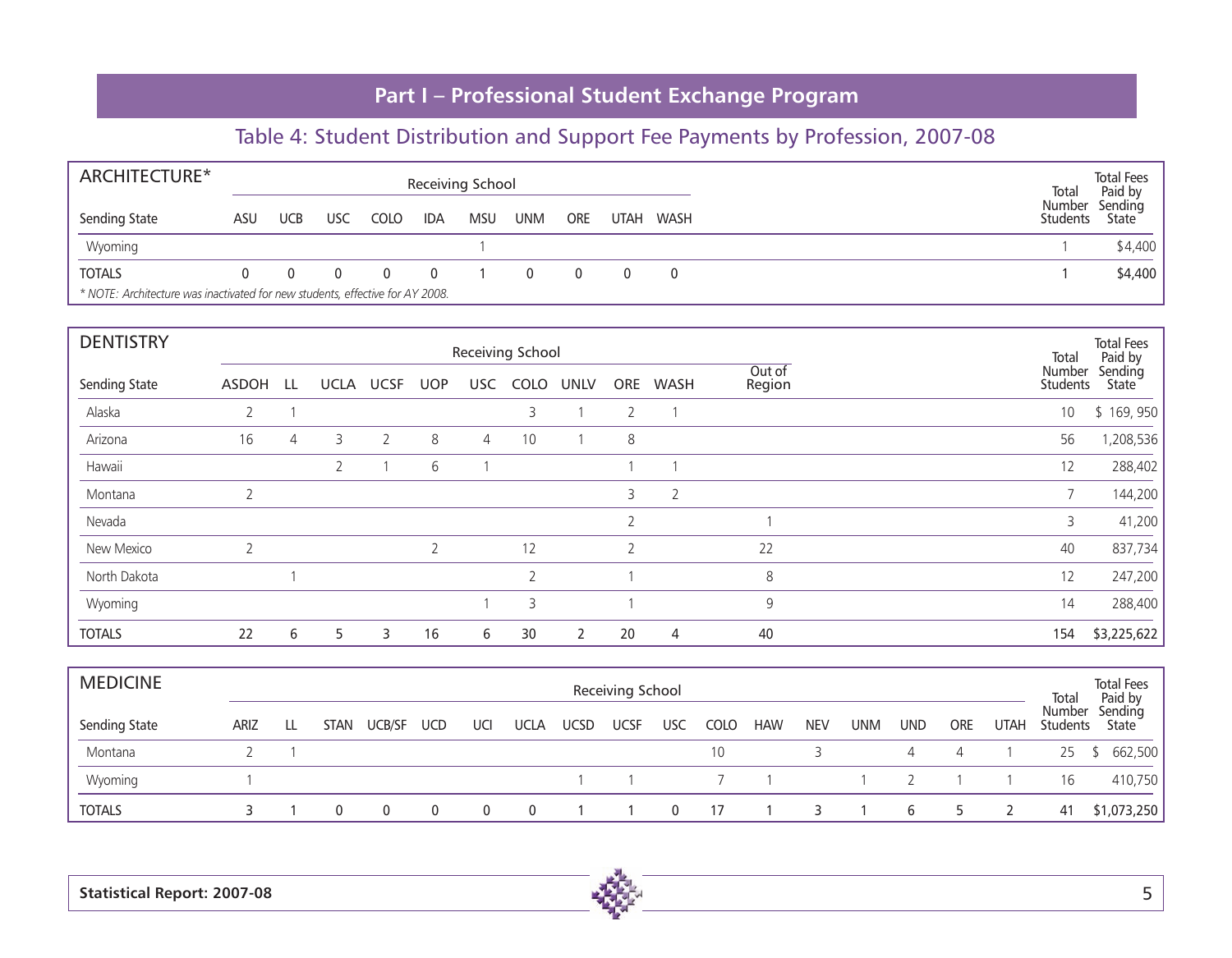| ARCHITECTURE*                                                                 |     |            |     |      |            | Receiving School |            |            |             |      | Total                     | <b>Total Fees</b><br>Paid by |
|-------------------------------------------------------------------------------|-----|------------|-----|------|------------|------------------|------------|------------|-------------|------|---------------------------|------------------------------|
| Sending State                                                                 | ASU | <b>UCB</b> | USC | COLO | <b>IDA</b> | <b>MSU</b>       | <b>UNM</b> | <b>ORE</b> | <b>UTAH</b> | WASH | Number<br><b>Students</b> | Sending<br>State             |
| Wyoming                                                                       |     |            |     |      |            |                  |            |            |             |      |                           | \$4,400                      |
| <b>TOTALS</b>                                                                 |     |            |     |      |            |                  |            |            |             |      |                           | \$4,400                      |
| * NOTE: Architecture was inactivated for new students, effective for AY 2008. |     |            |     |      |            |                  |            |            |             |      |                           |                              |

| <b>DENTISTRY</b> |                |   |                |           |            |                | Receiving School         |              |                |                |                  | Total              | <b>Total Fees</b><br>Paid by |
|------------------|----------------|---|----------------|-----------|------------|----------------|--------------------------|--------------|----------------|----------------|------------------|--------------------|------------------------------|
| Sending State    | ASDOH LL       |   |                | UCLA UCSF | <b>UOP</b> | USC            | COLO                     | UNLV         | <b>ORE</b>     | <b>WASH</b>    | Out of<br>Region | Number<br>Students | Sending<br>State             |
| Alaska           | 2              |   |                |           |            |                | 3                        |              | $\overline{2}$ |                |                  | 10                 | \$169,950                    |
| Arizona          | 16             | 4 | 3              | 2         | 8          | $\overline{4}$ | 10                       |              | 8              |                |                  | 56                 | 1,208,536                    |
| Hawaii           |                |   | $\overline{2}$ |           | 6          |                |                          |              |                |                |                  | 12                 | 288,402                      |
| Montana          | $\overline{2}$ |   |                |           |            |                |                          |              | 3              | $\overline{2}$ |                  | 7                  | 144,200                      |
| Nevada           |                |   |                |           |            |                |                          |              | $\overline{2}$ |                |                  | 3                  | 41,200                       |
| New Mexico       | $\overline{2}$ |   |                |           |            |                | 12                       |              | $\overline{2}$ |                | 22               | 40                 | 837,734                      |
| North Dakota     |                |   |                |           |            |                | $\overline{\phantom{0}}$ |              |                |                | 8                | 12                 | 247,200                      |
| Wyoming          |                |   |                |           |            |                | 3                        |              |                |                | 9                | 14                 | 288,400                      |
| <b>TOTALS</b>    | 22             | 6 | 5              | 3         | 16         | 6              | 30                       | $\mathbf{2}$ | 20             | $\overline{4}$ | 40               | 154                | \$3,225,622                  |

| <b>MEDICINE</b> |             |    |      |                |          |     |             |             | Receiving School |              |             |            |            |     |            |            |                | Total                     | <b>Total Fees</b><br>Paid by |
|-----------------|-------------|----|------|----------------|----------|-----|-------------|-------------|------------------|--------------|-------------|------------|------------|-----|------------|------------|----------------|---------------------------|------------------------------|
| Sending State   | <b>ARIZ</b> | LL | STAN | UCB/SF UCD     |          | UCI | <b>UCLA</b> | <b>UCSD</b> | <b>UCSF</b>      | USC          | <b>COLO</b> | <b>HAW</b> | <b>NEV</b> | UNM | <b>UND</b> | <b>ORE</b> | <b>UTAH</b>    | Number<br><b>Students</b> | Sending<br>State             |
| Montana         |             |    |      |                |          |     |             |             |                  |              | 10          |            |            |     |            | 4          |                | 25                        | \$662,500                    |
| Wyoming         |             |    |      |                |          |     |             |             |                  |              |             |            |            |     |            |            |                | 16                        | 410,750                      |
| <b>TOTALS</b>   |             |    | 0    | $\overline{0}$ | $\Omega$ |     | $\Omega$    |             |                  | $\mathbf{0}$ | 17          |            |            |     | 6          | 5          | $\overline{2}$ | 41                        | \$1,073,250                  |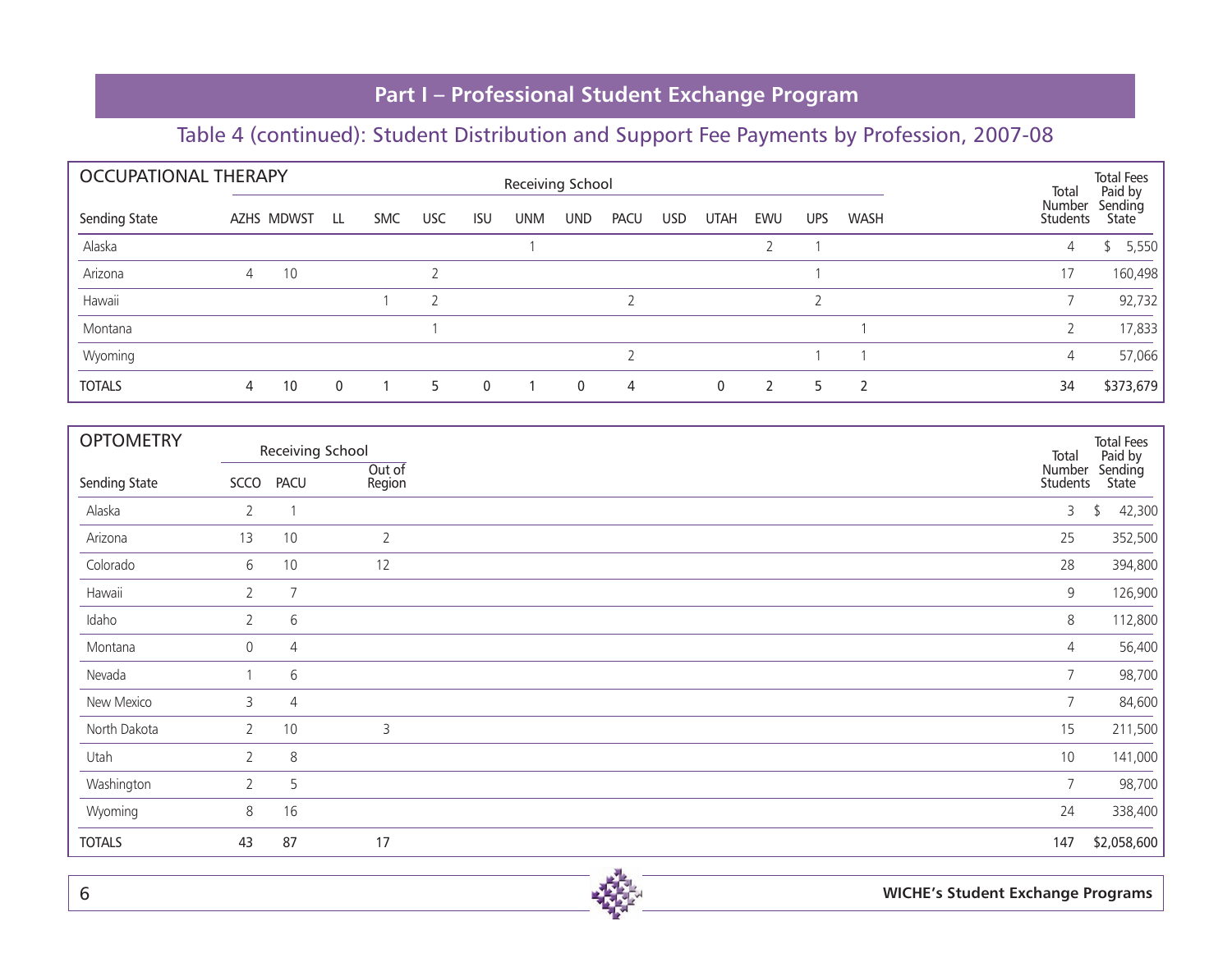| <b>OCCUPATIONAL THERAPY</b> |   |            |              |            |            |              | Receiving School |            |                |      |              |     |     |               | Total              | <b>Total Fees</b><br>Paid by |
|-----------------------------|---|------------|--------------|------------|------------|--------------|------------------|------------|----------------|------|--------------|-----|-----|---------------|--------------------|------------------------------|
| Sending State               |   | AZHS MDWST | LL.          | <b>SMC</b> | <b>USC</b> | <b>ISU</b>   | <b>UNM</b>       | <b>UND</b> | <b>PACU</b>    | USD. | <b>UTAH</b>  | EWU | UPS | <b>WASH</b>   | Number<br>Students | Sending<br>State             |
| Alaska                      |   |            |              |            |            |              |                  |            |                |      |              |     |     |               | 4                  | 5,550<br>ፍ                   |
| Arizona                     | 4 | 10         |              |            |            |              |                  |            |                |      |              |     |     |               | 17                 | 160,498                      |
| Hawaii                      |   |            |              |            |            |              |                  |            |                |      |              |     |     |               |                    | 92,732                       |
| Montana                     |   |            |              |            |            |              |                  |            |                |      |              |     |     |               |                    | 17,833                       |
| Wyoming                     |   |            |              |            |            |              |                  |            |                |      |              |     |     |               | 4                  | 57,066                       |
| <b>TOTALS</b>               | 4 | 10         | $\mathbf{0}$ |            | 5          | $\mathbf{0}$ |                  | $\Omega$   | $\overline{4}$ |      | $\mathbf{0}$ |     | 5   | $\mathcal{P}$ | 34                 | \$373,679                    |

| <b>OPTOMETRY</b> |                       |                | Receiving School | Total              | <b>Total Fees</b>           |
|------------------|-----------------------|----------------|------------------|--------------------|-----------------------------|
| Sending State    | SCCO                  | <b>PACU</b>    | Out of<br>Region | Number<br>Students | Paid by<br>Sending<br>State |
| Alaska           | $\overline{2}$        |                |                  | 3                  | 42,300<br>\$                |
| Arizona          | 13                    | 10             | $\overline{2}$   | 25                 | 352,500                     |
| Colorado         | 6                     | 10             | 12               | 28                 | 394,800                     |
| Hawaii           | 2                     | 7              |                  | 9                  | 126,900                     |
| Idaho            | 2                     | 6              |                  | 8                  | 112,800                     |
| Montana          | 0                     | $\overline{4}$ |                  | 4                  | 56,400                      |
| Nevada           |                       | 6              |                  | $\overline{7}$     | 98,700                      |
| New Mexico       | 3                     | 4              |                  | 7                  | 84,600                      |
| North Dakota     | $\overline{2}$        | 10             | 3                | 15                 | 211,500                     |
| Utah             | $\mathbf{2}^{\prime}$ | 8              |                  | 10                 | 141,000                     |
| Washington       | $\overline{2}$        | 5              |                  | $\overline{7}$     | 98,700                      |
| Wyoming          | 8                     | 16             |                  | 24                 | 338,400                     |
| <b>TOTALS</b>    | 43                    | 87             | 17               | 147                | \$2,058,600                 |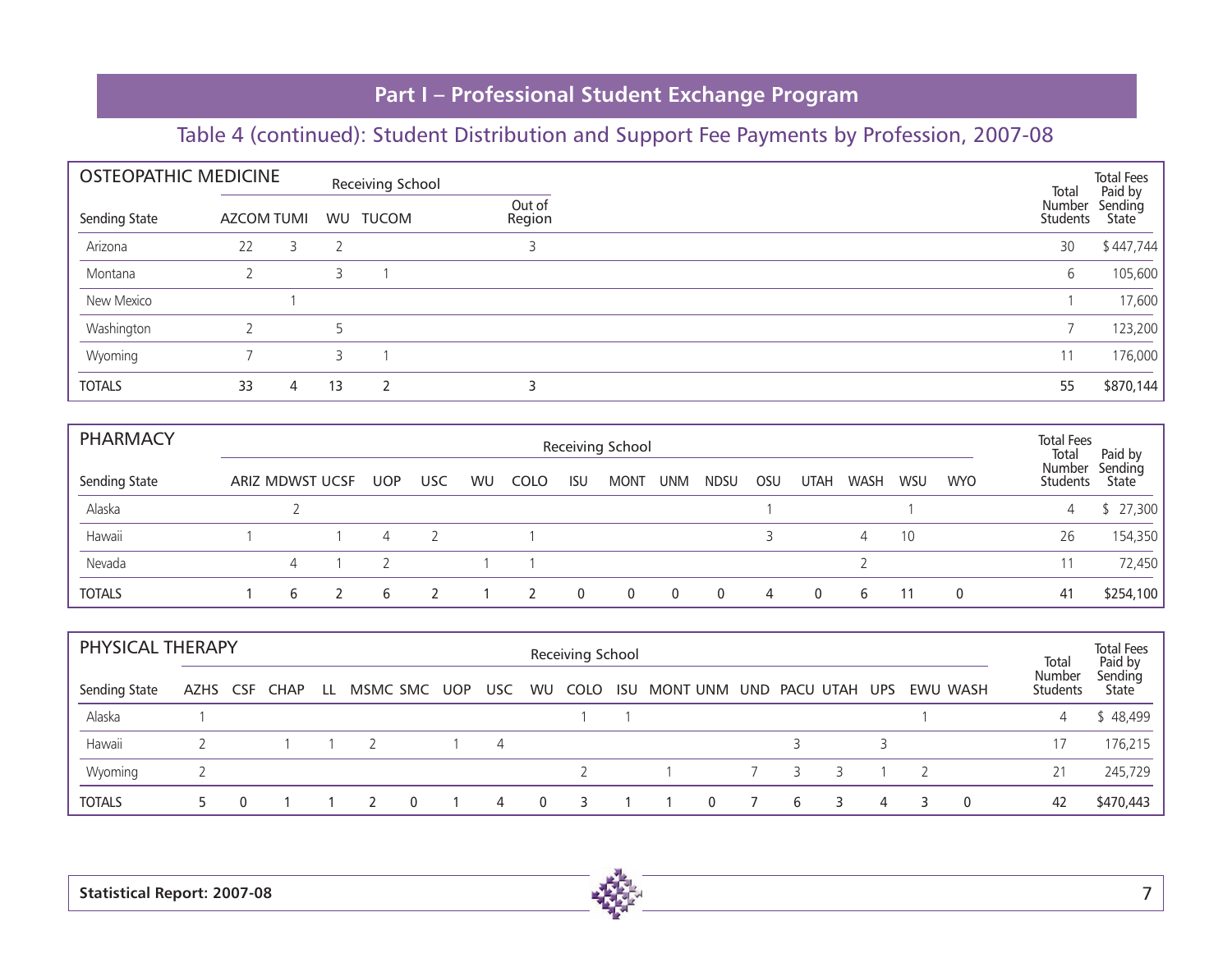| <b>OSTEOPATHIC MEDICINE</b> |            |   |                | Receiving School |                  | Total              | <b>Total Fees</b><br>Paid by |
|-----------------------------|------------|---|----------------|------------------|------------------|--------------------|------------------------------|
| Sending State               | AZCOM TUMI |   |                | WU TUCOM         | Out of<br>Region | Number<br>Students | Sending<br>State             |
| Arizona                     | 22         | 3 | $\overline{2}$ |                  |                  | 30                 | \$447,744                    |
| Montana                     |            |   | 3              |                  |                  | 6                  | 105,600                      |
| New Mexico                  |            |   |                |                  |                  |                    | 17,600                       |
| Washington                  |            |   | 5              |                  |                  |                    | 123,200                      |
| Wyoming                     |            |   | 3              |                  |                  | 11                 | 176,000                      |
| <b>TOTALS</b>               | 33         | 4 | 13             |                  |                  | 55                 | \$870,144                    |

| <b>PHARMACY</b> |                 |   |     |            |    |             |            | Receiving School |            |             |     |             |      |            |            | <b>Total Fees</b><br>Total | Paid by          |
|-----------------|-----------------|---|-----|------------|----|-------------|------------|------------------|------------|-------------|-----|-------------|------|------------|------------|----------------------------|------------------|
| Sending State   | ARIZ MDWST UCSF |   | UOP | <b>USC</b> | WU | <b>COLO</b> | <b>ISU</b> | <b>MONT</b>      | <b>UNM</b> | <b>NDSU</b> | OSU | <b>UTAH</b> | WASH | <b>WSU</b> | <b>WYO</b> | Number<br>Students         | Sending<br>State |
| Alaska          |                 |   |     |            |    |             |            |                  |            |             |     |             |      |            |            | 4                          | 27,300           |
| Hawaii          |                 |   | 4   |            |    |             |            |                  |            |             |     |             | 4    | 10         |            | 26                         | 154,350          |
| Nevada          |                 |   |     |            |    |             |            |                  |            |             |     |             |      |            |            |                            | 72,450           |
| <b>TOTALS</b>   |                 | b | h   |            |    |             | $\Omega$   | 0                |            | - 0         | 4   | 0           | 6    |            | 0          | 41                         | \$254,100        |

| PHYSICAL THERAPY<br>Receiving School |          |  |             |     |  |          |     |      |     |             |  |                            | Total | <b>Total Fees</b><br>Paid by |   |   |   |  |          |                           |                  |
|--------------------------------------|----------|--|-------------|-----|--|----------|-----|------|-----|-------------|--|----------------------------|-------|------------------------------|---|---|---|--|----------|---------------------------|------------------|
| Sending State                        | AZHS CSF |  | <b>CHAP</b> | LL. |  | MSMC SMC | UOP | USC. |     | WU COLO ISU |  | MONT UNM UND PACU UTAH UPS |       |                              |   |   |   |  | EWU WASH | Number<br><b>Students</b> | Sending<br>State |
| Alaska                               |          |  |             |     |  |          |     |      |     |             |  |                            |       |                              |   |   |   |  |          |                           | \$48,499         |
| Hawaii                               |          |  |             |     |  |          |     | 4    |     |             |  |                            |       |                              |   |   |   |  |          |                           | 176,215          |
| Wyoming                              |          |  |             |     |  |          |     |      |     |             |  |                            |       | 7                            | 3 |   |   |  |          |                           | 245,729          |
| <b>TOTALS</b>                        |          |  |             |     |  | 0        |     | 4    | - 0 |             |  |                            | 0     |                              | 6 | 3 | 4 |  | 0        | 42                        | \$470,443        |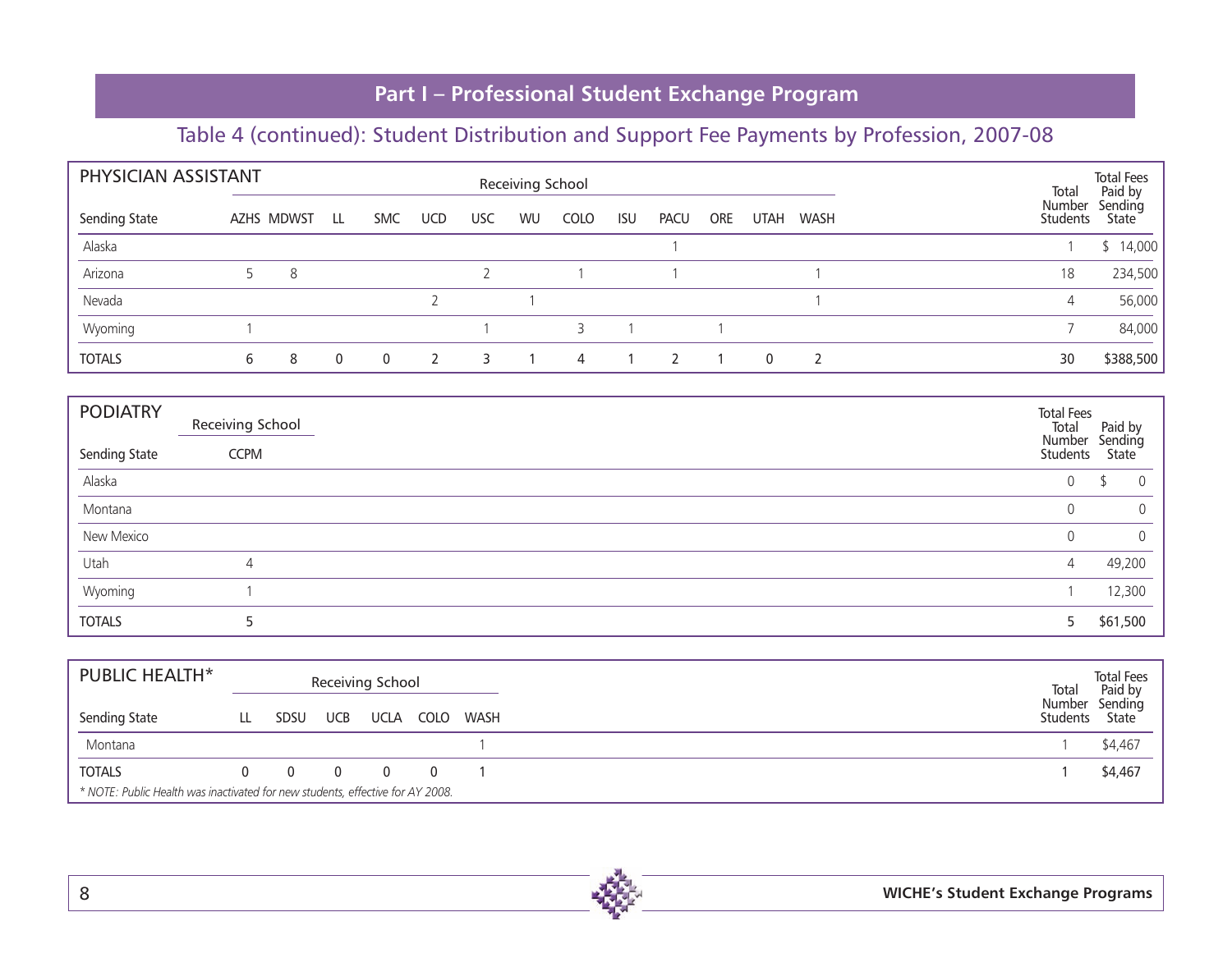| PHYSICIAN ASSISTANT<br>Receiving School |   |            |              |              |               |            | Total     | <b>Total Fees</b><br>Paid by |            |             |            |             |             |                           |                               |
|-----------------------------------------|---|------------|--------------|--------------|---------------|------------|-----------|------------------------------|------------|-------------|------------|-------------|-------------|---------------------------|-------------------------------|
| Sending State                           |   | AZHS MDWST | LL           | <b>SMC</b>   | <b>UCD</b>    | <b>USC</b> | <b>WU</b> | <b>COLO</b>                  | <b>ISU</b> | <b>PACU</b> | <b>ORE</b> | <b>UTAH</b> | <b>WASH</b> | Number<br><b>Students</b> | Sending<br>State <sup>1</sup> |
| Alaska                                  |   |            |              |              |               |            |           |                              |            |             |            |             |             |                           | \$14,000                      |
| Arizona                                 |   | 8          |              |              |               |            |           |                              |            |             |            |             |             | 18                        | 234,500                       |
| Nevada                                  |   |            |              |              |               |            |           |                              |            |             |            |             |             | 4                         | 56,000                        |
| Wyoming                                 |   |            |              |              |               |            |           |                              |            |             |            |             |             |                           | 84,000                        |
| <b>TOTALS</b>                           | 6 | 8          | $\mathbf{0}$ | $\mathbf{0}$ | $\mathcal{L}$ | 3          |           | $\overline{4}$               |            |             |            | $\Omega$    | ີ           | 30                        | \$388,500                     |

| <b>PODIATRY</b> | Receiving School | <b>Total Fees</b><br>Total       | Paid by     |
|-----------------|------------------|----------------------------------|-------------|
| Sending State   | <b>CCPM</b>      | Number Sending<br>Students State |             |
| Alaska          |                  | 0                                | $\Omega$    |
| Montana         |                  | $\mathbf{0}$                     | $\mathbf 0$ |
| New Mexico      |                  | 0                                | $\mathbf 0$ |
| Utah            | $\overline{4}$   | $\overline{4}$                   | 49,200      |
| Wyoming         |                  |                                  | 12,300      |
| <b>TOTALS</b>   |                  | 5.                               | \$61,500    |

| <b>PUBLIC HEALTH*</b>                                                          |                |                | Receiving School |          |      | Total  | <b>Total Fees</b><br>Paid by<br>Sending<br>Students State |
|--------------------------------------------------------------------------------|----------------|----------------|------------------|----------|------|--------|-----------------------------------------------------------|
| Sending State                                                                  | SDSU           | UCB            | <b>UCLA</b>      | COLO     | WASH | Number |                                                           |
| Montana                                                                        |                |                |                  |          |      |        | \$4,467                                                   |
| <b>TOTALS</b>                                                                  | $\overline{0}$ | $\overline{0}$ | $\Omega$         | $\Omega$ |      |        | \$4,467                                                   |
| * NOTE: Public Health was inactivated for new students, effective for AY 2008. |                |                |                  |          |      |        |                                                           |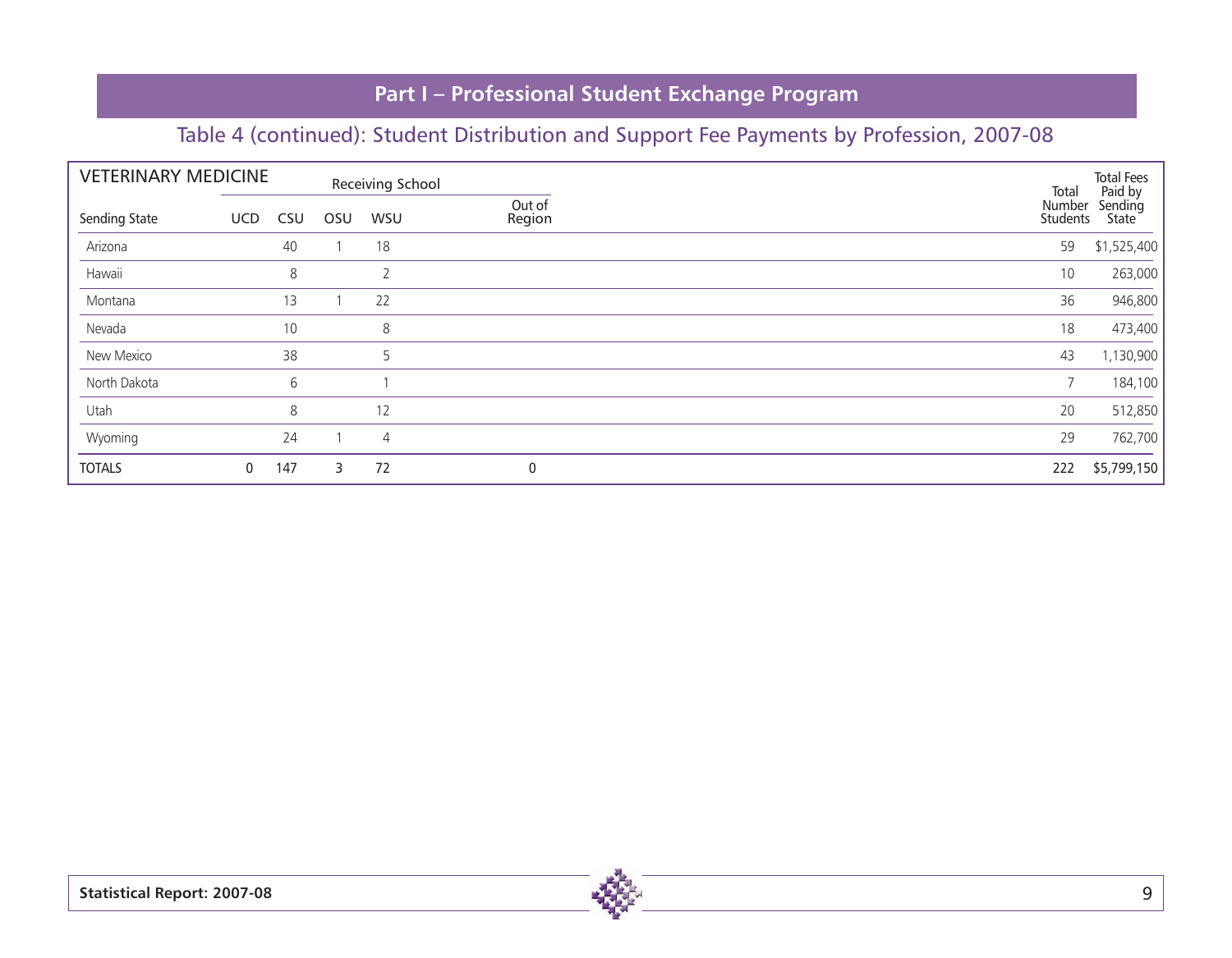|               | <b>VETERINARY MEDICINE</b> |     | Receiving School |                |                  | Total              | <b>Total Fees</b><br>Paid by |
|---------------|----------------------------|-----|------------------|----------------|------------------|--------------------|------------------------------|
| Sending State | <b>UCD</b>                 | CSU | OSU              | WSU            | Out of<br>Region | Number<br>Students | Sending<br>State             |
| Arizona       |                            | 40  |                  | 18             |                  | 59                 | \$1,525,400                  |
| Hawaii        |                            | 8   |                  | $\overline{2}$ |                  | 10                 | 263,000                      |
| Montana       |                            | 13  | $\mathbf{1}$     | 22             |                  | 36                 | 946,800                      |
| Nevada        |                            | 10  |                  | 8              |                  | 18                 | 473,400                      |
| New Mexico    |                            | 38  |                  | 5              |                  | 43                 | 1,130,900                    |
| North Dakota  |                            | 6   |                  |                |                  | $\overline{7}$     | 184,100                      |
| Utah          |                            | 8   |                  | 12             |                  | 20                 | 512,850                      |
| Wyoming       |                            | 24  |                  | $\overline{4}$ |                  | 29                 | 762,700                      |
| <b>TOTALS</b> | 0                          | 147 | 3                | 72             | $\pmb{0}$        | 222                | \$5,799,150                  |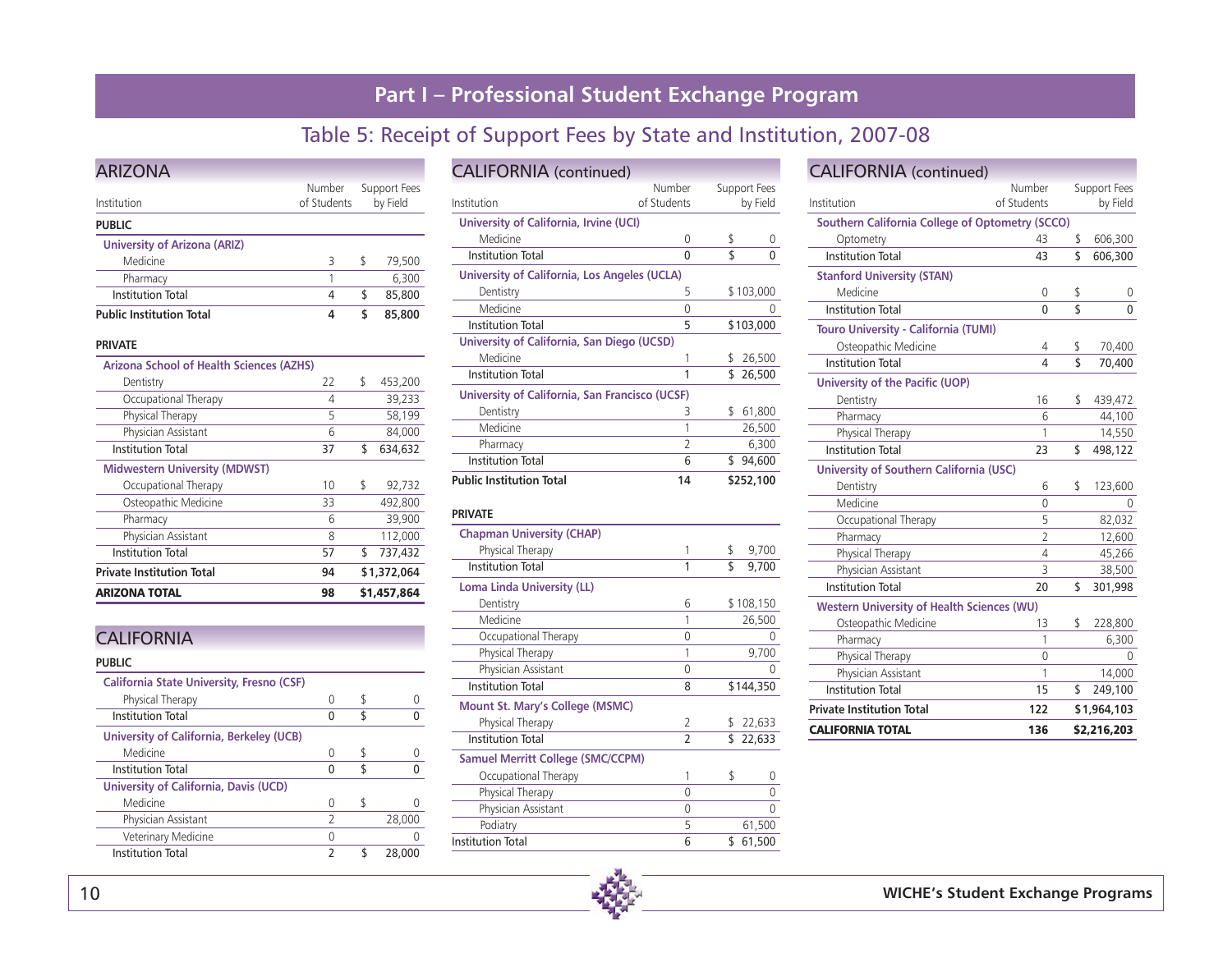### Table 5: Receipt of Support Fees by State and Institution, 2007-08

| <b>ARIZONA</b>                                  |             |    |              |  |  |  |  |  |  |
|-------------------------------------------------|-------------|----|--------------|--|--|--|--|--|--|
|                                                 | Number      |    | Support Fees |  |  |  |  |  |  |
| Institution                                     | of Students |    | by Field     |  |  |  |  |  |  |
| <b>PUBLIC</b>                                   |             |    |              |  |  |  |  |  |  |
| <b>University of Arizona (ARIZ)</b>             |             |    |              |  |  |  |  |  |  |
| Medicine                                        | 3           | \$ | 79,500       |  |  |  |  |  |  |
| Pharmacy                                        | 1           |    | 6.300        |  |  |  |  |  |  |
| <b>Institution Total</b>                        | 4           | \$ | 85,800       |  |  |  |  |  |  |
| <b>Public Institution Total</b>                 | 4           | \$ | 85,800       |  |  |  |  |  |  |
| <b>PRIVATE</b>                                  |             |    |              |  |  |  |  |  |  |
| <b>Arizona School of Health Sciences (AZHS)</b> |             |    |              |  |  |  |  |  |  |
| Dentistry                                       | 22          | \$ | 453,200      |  |  |  |  |  |  |
| Occupational Therapy                            | 4           |    | 39,233       |  |  |  |  |  |  |
| Physical Therapy                                | 5           |    | 58,199       |  |  |  |  |  |  |
| Physician Assistant                             | 6           |    | 84,000       |  |  |  |  |  |  |
| <b>Institution Total</b>                        | 37          | \$ | 634,632      |  |  |  |  |  |  |
| <b>Midwestern University (MDWST)</b>            |             |    |              |  |  |  |  |  |  |
| Occupational Therapy                            | 10          | \$ | 92,732       |  |  |  |  |  |  |
| Osteopathic Medicine                            | 33          |    | 492,800      |  |  |  |  |  |  |
| Pharmacy                                        | 6           |    | 39,900       |  |  |  |  |  |  |
| Physician Assistant                             | 8           |    | 112,000      |  |  |  |  |  |  |
| <b>Institution Total</b>                        | 57          | \$ | 737,432      |  |  |  |  |  |  |
| <b>Private Institution Total</b>                | 94          |    | \$1,372,064  |  |  |  |  |  |  |
| <b>ARIZONA TOTAL</b>                            | 98          |    | \$1,457,864  |  |  |  |  |  |  |

| <b>CALIFORNIA</b>                                |   |              |
|--------------------------------------------------|---|--------------|
| <b>PUBLIC</b>                                    |   |              |
| <b>California State University, Fresno (CSF)</b> |   |              |
| Physical Therapy                                 | 0 | \$           |
| <b>Institution Total</b>                         | 0 | \$<br>O      |
| University of California, Berkeley (UCB)         |   |              |
| Medicine                                         | U | \$           |
| <b>Institution Total</b>                         | U | \$           |
| <b>University of California, Davis (UCD)</b>     |   |              |
| Medicine                                         | 0 | \$           |
| Physician Assistant                              | 2 | 28,000       |
| Veterinary Medicine                              | U |              |
| Institution Total                                | 2 | \$<br>28,000 |
|                                                  |   |              |

| <b>CALIFORNIA</b> (continued)                  |                       |                          |                  |  |  |  |  |  |
|------------------------------------------------|-----------------------|--------------------------|------------------|--|--|--|--|--|
| Institution                                    | Number<br>of Students | Support Fees<br>by Field |                  |  |  |  |  |  |
| University of California, Irvine (UCI)         |                       |                          |                  |  |  |  |  |  |
| Medicine                                       | 0                     | \$                       | $\left( \right)$ |  |  |  |  |  |
| <b>Institution Total</b>                       | 0                     | \$                       | 0                |  |  |  |  |  |
| University of California, Los Angeles (UCLA)   |                       |                          |                  |  |  |  |  |  |
| Dentistry                                      | 5                     |                          | \$103,000        |  |  |  |  |  |
| Medicine                                       | 0                     |                          | 0                |  |  |  |  |  |
| Institution Total                              | 5                     |                          | \$103,000        |  |  |  |  |  |
| University of California, San Diego (UCSD)     |                       |                          |                  |  |  |  |  |  |
| Medicine                                       |                       |                          | 26,500           |  |  |  |  |  |
| <b>Institution Total</b>                       |                       | \$                       | 26,500           |  |  |  |  |  |
| University of California, San Francisco (UCSF) |                       |                          |                  |  |  |  |  |  |
| Dentistry                                      | 3                     | \$                       | 61,800           |  |  |  |  |  |
| Medicine                                       | 1                     |                          | 26,500           |  |  |  |  |  |
| Pharmacy                                       | $\overline{2}$        |                          | 6,300            |  |  |  |  |  |
| <b>Institution Total</b>                       | 6                     | \$                       | 94,600           |  |  |  |  |  |
| <b>Public Institution Total</b>                | 14                    |                          | \$252,100        |  |  |  |  |  |

#### **PRIVATE**

| <b>Chapman University (CHAP)</b>         |                          |        |           |  |  |  |
|------------------------------------------|--------------------------|--------|-----------|--|--|--|
| Physical Therapy                         | 1                        | \$     | 9,700     |  |  |  |
| <b>Institution Total</b>                 | 1                        | \$     | 9,700     |  |  |  |
| <b>Loma Linda University (LL)</b>        |                          |        |           |  |  |  |
| Dentistry                                | 6                        |        | \$108,150 |  |  |  |
| Medicine                                 | 1                        | 26,500 |           |  |  |  |
| Occupational Therapy                     | 0                        |        |           |  |  |  |
| Physical Therapy                         | 1                        |        | 9,700     |  |  |  |
| Physician Assistant                      | 0                        |        |           |  |  |  |
| <b>Institution Total</b>                 | 8                        |        | \$144,350 |  |  |  |
| <b>Mount St. Mary's College (MSMC)</b>   |                          |        |           |  |  |  |
| Physical Therapy                         | $\mathcal{P}$            | S      | 22,633    |  |  |  |
| <b>Institution Total</b>                 | $\overline{\phantom{a}}$ |        | \$22,633  |  |  |  |
| <b>Samuel Merritt College (SMC/CCPM)</b> |                          |        |           |  |  |  |
| Occupational Therapy                     | 1                        | \$     | 0         |  |  |  |
| Physical Therapy                         | 0                        |        | 0         |  |  |  |
| Physician Assistant                      | 0                        |        |           |  |  |  |
| Podiatry                                 | 5                        |        | 61,500    |  |  |  |
| <b>Institution Total</b>                 | 6                        | \$     | 61,500    |  |  |  |
|                                          |                          |        |           |  |  |  |

#### CALIFORNIA (continued) Number Support Fees<br>Institution of Students by Field of Students **Southern California College of Optometry (SCCO)** Optometry 43 \$ 606,300 Institution Total 43 \$ 606,300 **Stanford University (STAN)** Medicine 0 \$ 0 Institution Total 0 \$ 0 **Touro University - California (TUMI)**  Osteopathic Medicine **4** \$ 70,400 Institution Total 4 \$ 70,400 **University of the Pacific (UOP)** Dentistry 16 \$ 439,472 Pharmacy 6 44,100 Physical Therapy 1 1 14,550 Institution Total 23 \$ 498,122 **University of Southern California (USC)**  Dentistry 6 \$ 123,600 Medicine 0 0 Occupational Therapy 5 82,032 Pharmacy 2 12,600 Physical Therapy 1990 100 4 45,266 Physician Assistant 3 38,500 Institution Total 20 \$ 301,998 **Western University of Health Sciences (WU)**  Osteopathic Medicine 13 \$           228,800 Pharmacy 1 6,300 Physical Therapy 0 0 Physician Assistant 1 14,000 Institution Total 15 \$ 249,100

| CALIFORNIA TOTAL                 | 136 | \$2,216,203      |
|----------------------------------|-----|------------------|
| <b>Private Institution Total</b> | 122 | \$1,964,103      |
| 1130000011 1900                  | .   | <b>U LTJ.IUU</b> |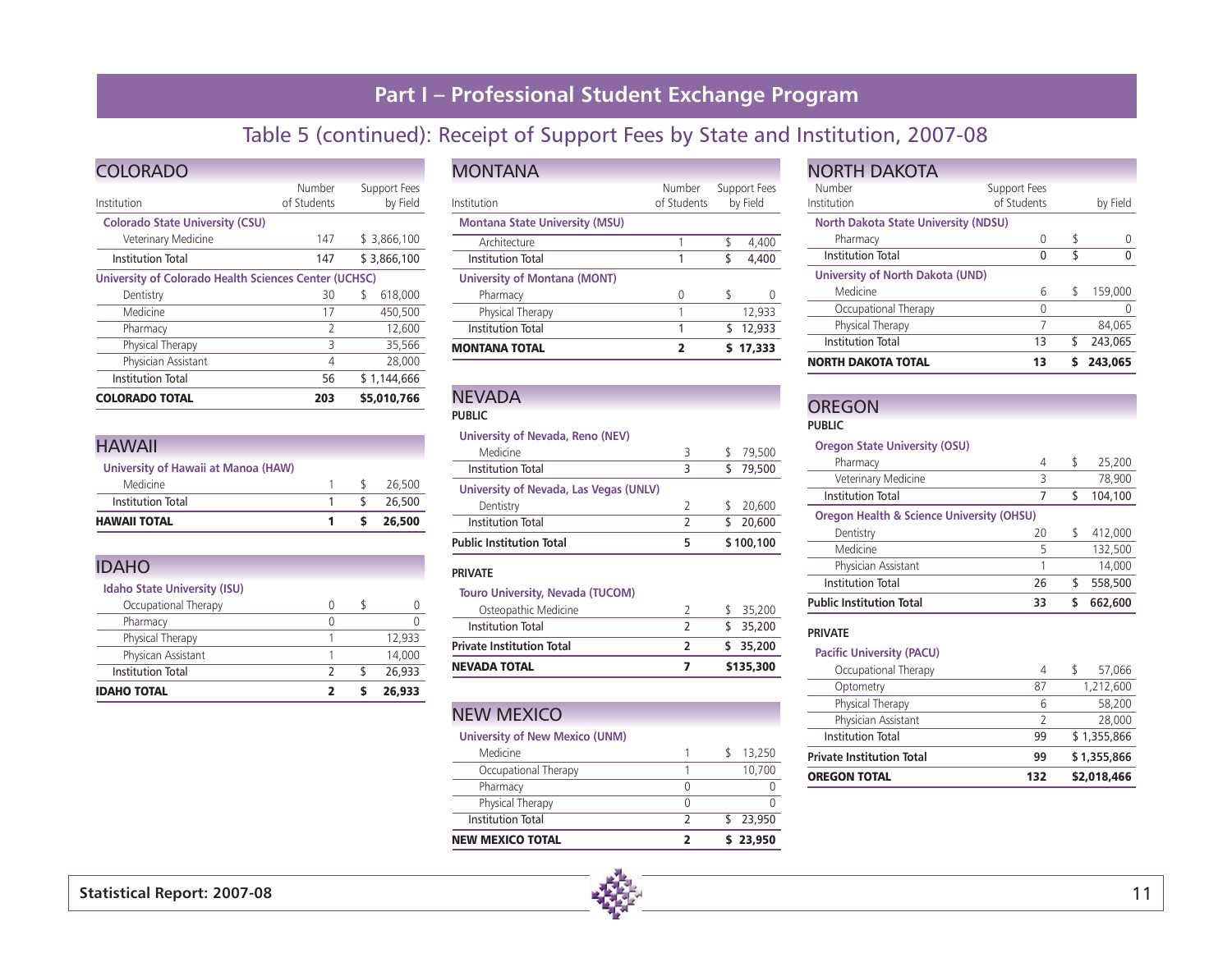# Table 5 (continued): Receipt of Support Fees by State and Institution, 2007-08

| <b>COLORADO</b>                                       |                       |                          |             |  |  |  |  |  |
|-------------------------------------------------------|-----------------------|--------------------------|-------------|--|--|--|--|--|
| Institution                                           | Number<br>of Students | Support Fees<br>by Field |             |  |  |  |  |  |
| <b>Colorado State University (CSU)</b>                |                       |                          |             |  |  |  |  |  |
| Veterinary Medicine                                   | 147                   |                          | \$3,866,100 |  |  |  |  |  |
| <b>Institution Total</b>                              | 147                   |                          | \$3,866,100 |  |  |  |  |  |
| University of Colorado Health Sciences Center (UCHSC) |                       |                          |             |  |  |  |  |  |
| Dentistry                                             | 30                    | \$                       | 618,000     |  |  |  |  |  |
| Medicine                                              | 17                    |                          | 450,500     |  |  |  |  |  |
| Pharmacy                                              | $\mathcal{P}$         |                          | 12,600      |  |  |  |  |  |
| Physical Therapy                                      | 3                     |                          | 35,566      |  |  |  |  |  |
| Physician Assistant                                   | 4                     |                          | 28,000      |  |  |  |  |  |
| <b>Institution Total</b>                              | 56                    |                          | \$1,144,666 |  |  |  |  |  |
| <b>COLORADO TOTAL</b>                                 | 203                   |                          | \$5,010,766 |  |  |  |  |  |

#### HAWAII

| <b>HAWAII TOTAL</b>                 |               | \$26,500 |
|-------------------------------------|---------------|----------|
| <b>Institution Total</b>            | $\mathcal{S}$ | 26.500   |
| Medicine                            |               | 26,500   |
| University of Hawaii at Manoa (HAW) |               |          |

### IDAHO

| <b>IDAHO TOTAL</b>                  |  | 26,933 |
|-------------------------------------|--|--------|
| <b>Institution Total</b>            |  | 26,933 |
| Physican Assistant                  |  | 14,000 |
| Physical Therapy                    |  | 12,933 |
| Pharmacy                            |  |        |
| Occupational Therapy                |  |        |
| <b>Idaho State University (ISU)</b> |  |        |

| <b>MONTANA</b>                        |                       |                          |        |
|---------------------------------------|-----------------------|--------------------------|--------|
| Institution                           | Number<br>of Students | Support Fees<br>by Field |        |
| <b>Montana State University (MSU)</b> |                       |                          |        |
| Architecture                          |                       | \$                       | 4.400  |
| Institution Total                     |                       | \$                       | 4.400  |
| <b>University of Montana (MONT)</b>   |                       |                          |        |
| Pharmacy                              | U                     | \$                       |        |
| Physical Therapy                      |                       |                          | 12,933 |
| Institution Total                     | 1                     | S                        | 12,933 |
| <b>MONTANA TOTAL</b>                  | 2                     |                          | 17,333 |

### **NEVADA**

#### **PUBLIC**

#### **University of Nevada, Reno (NEV)**

| Public Institution Total               |   | \$100,100 |
|----------------------------------------|---|-----------|
| <b>Institution Total</b>               | 2 | 20,600    |
| Dentistry                              |   | 20,600    |
| University of Nevada, Las Vegas (UNLV) |   |           |
| Institution Total                      | ٦ | 79.500    |
| Medicine                               | 3 | 79,500    |

#### **PRIVATE**

#### **Touro University, Nevada (TUCOM)**

| <b>NEVADA TOTAL</b>              |  | \$135,300 |
|----------------------------------|--|-----------|
| <b>Private Institution Total</b> |  | \$35,200  |
| Institution Total                |  | \$35.200  |
| Osteopathic Medicine             |  | 35,200    |

### NEW MEXICO

#### **University of New Mexico (UNM)**

| NEW MEXICO TOTAL         |  | 23,950 |
|--------------------------|--|--------|
| <b>Institution Total</b> |  | 23,950 |
| Physical Therapy         |  |        |
| Pharmacy                 |  |        |
| Occupational Therapy     |  | 10.700 |
| Medicine                 |  | 13,250 |

#### **NORTH DAKOTA** Number Support Fees<br>
Institution of Students of Students by Field **North Dakota State University (NDSU)**  Pharmacy 0 \$ 0 Institution Total 0 \$ 0 **University of North Dakota (UND)**  Medicine 6 \$ 159,000 Occupational Therapy 0 0 Physical Therapy 7 84,065 Institution Total 13 \$ 243,065 NORTH DAKOTA TOTAL 13 \$ 243,065

### **OREGON**

**PUBLIC**

#### **Oregon State University (OSU)**

| <b>Public Institution Total</b>                      | 33 |   | 662,600 |
|------------------------------------------------------|----|---|---------|
| <b>Institution Total</b>                             | 26 | ς | 558,500 |
| Physician Assistant                                  |    |   | 14,000  |
| Medicine                                             | 5  |   | 132,500 |
| Dentistry                                            | 20 | S | 412,000 |
| <b>Oregon Health &amp; Science University (OHSU)</b> |    |   |         |
| Institution Total                                    | 7  | S | 104,100 |
| Veterinary Medicine                                  | 3  |   | 78,900  |
| Pharmacy                                             | 4  |   | 25,200  |

#### **PRIVATE**

#### **Pacific University (PACU)**

| <b>OREGON TOTAL</b>              | 132 | \$2,018,466 |
|----------------------------------|-----|-------------|
| <b>Private Institution Total</b> | 99  | \$1,355,866 |
| <b>Institution Total</b>         | 99  | \$1,355,866 |
| Physician Assistant              |     | 28,000      |
| Physical Therapy                 | 6   | 58,200      |
| Optometry                        | 87  | 1,212,600   |
| Occupational Therapy             | 4   | 57,066      |
|                                  |     |             |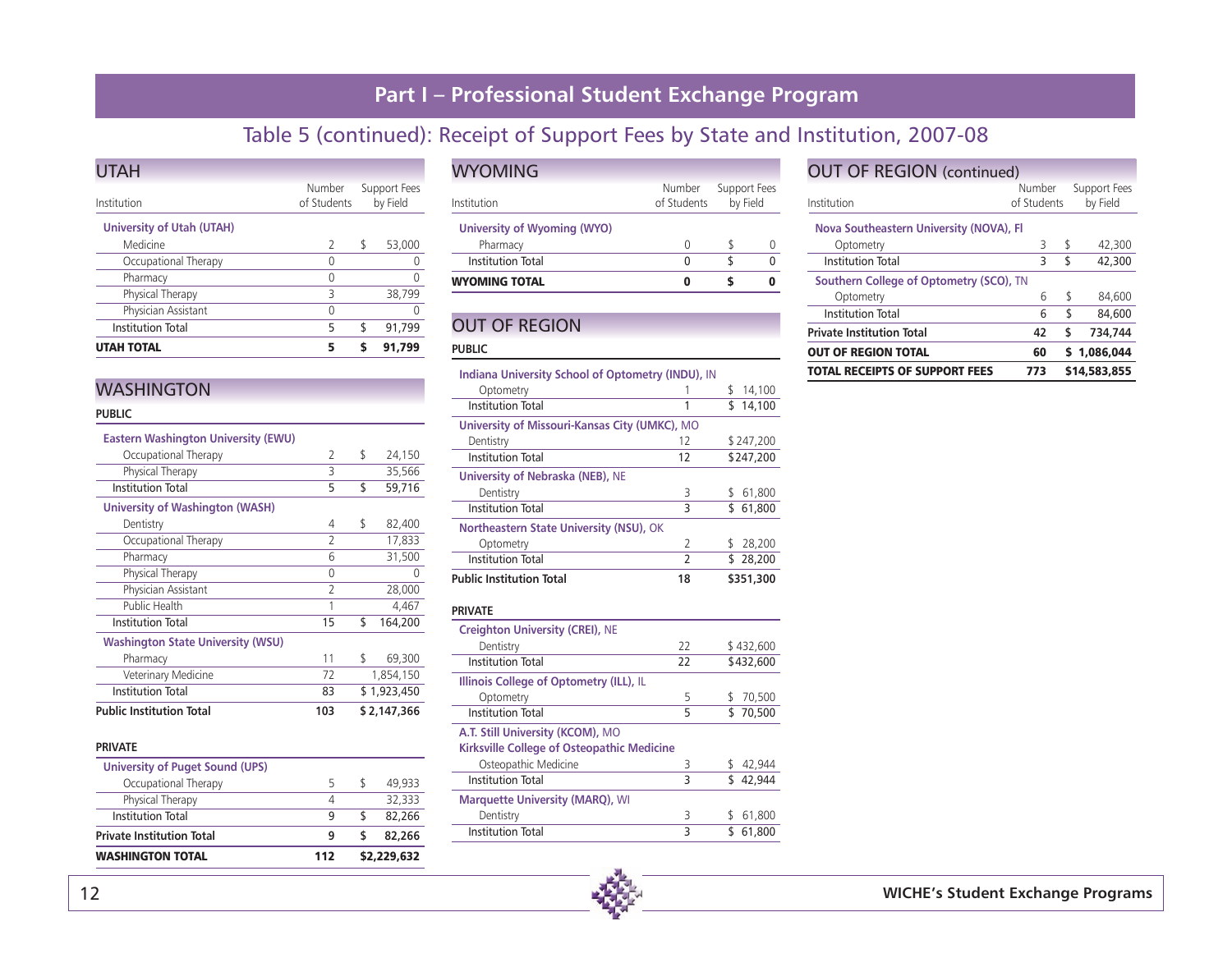# Table 5 (continued): Receipt of Support Fees by State and Institution, 2007-08

| <b>UTAH TOTAL</b>                | 5                     |                          | 91.799 |
|----------------------------------|-----------------------|--------------------------|--------|
| <b>Institution Total</b>         | 5                     | \$                       | 91,799 |
| Physician Assistant              | U                     |                          |        |
| Physical Therapy                 | 3                     |                          | 38.799 |
| Pharmacy                         | 0                     |                          |        |
| Occupational Therapy             | O                     |                          |        |
| Medicine                         | $\mathcal{P}$         | S                        | 53,000 |
| <b>University of Utah (UTAH)</b> |                       |                          |        |
| Institution                      | Number<br>of Students | Support Fees<br>by Field |        |
| <b>UTAH</b>                      |                       |                          |        |

### **WASHINGTON**

#### **PUBLIC**

| <b>Eastern Washington University (EWU)</b> |               |               |
|--------------------------------------------|---------------|---------------|
| Occupational Therapy                       | 2             | \$<br>24,150  |
| Physical Therapy                           | 3             | 35,566        |
| <b>Institution Total</b>                   | 5             | \$<br>59,716  |
| <b>University of Washington (WASH)</b>     |               |               |
| Dentistry                                  | 4             | \$<br>82,400  |
| Occupational Therapy                       | $\mathcal{P}$ | 17,833        |
| Pharmacy                                   | 6             | 31,500        |
| Physical Therapy                           | 0             | 0             |
| Physician Assistant                        | 2             | 28,000        |
| Public Health                              |               | 4,467         |
| <b>Institution Total</b>                   | 15            | \$<br>164,200 |
| <b>Washington State University (WSU)</b>   |               |               |
| Pharmacy                                   | 11            | \$<br>69,300  |
| Veterinary Medicine                        | 72            | 1,854,150     |
| <b>Institution Total</b>                   | 83            | \$1,923,450   |
| <b>Public Institution Total</b>            | 103           | \$2,147,366   |
| <b>PRIVATE</b>                             |               |               |

| q | 82,266 |
|---|--------|
|   |        |
| q | 82.266 |
| 4 | 32.333 |
| 5 | 49.933 |
|   |        |
|   |        |

| <b>WYOMING TOTAL</b>                    |                       |                          |  |
|-----------------------------------------|-----------------------|--------------------------|--|
| <b>Institution Total</b>                | O                     |                          |  |
| University of Wyoming (WYO)<br>Pharmacy | O                     |                          |  |
| Institution                             | Number<br>of Students | Support Fees<br>by Field |  |
| <b>WYOMING</b>                          |                       |                          |  |

### OUT OF REGION

#### **PUBLIC**

| Indiana University School of Optometry (INDU), IN |                |                       |
|---------------------------------------------------|----------------|-----------------------|
| Optometry                                         | 1              | 14,100<br>\$          |
| <b>Institution Total</b>                          | 1              | \$<br>14,100          |
| University of Missouri-Kansas City (UMKC), MO     |                |                       |
| Dentistry                                         | 12             | \$247,200             |
| <b>Institution Total</b>                          | 12             | \$247,200             |
| <b>University of Nebraska (NEB), NE</b>           |                |                       |
| Dentistry                                         | 3              | 61,800<br>\$          |
| <b>Institution Total</b>                          | $\overline{3}$ | $\overline{5}$ 61,800 |
| Northeastern State University (NSU), OK           |                |                       |
| Optometry                                         | 2              | \$28,200              |
| <b>Institution Total</b>                          | $\overline{2}$ | \$28,200              |
| <b>Public Institution Total</b>                   | 18             | \$351,300             |
|                                                   |                |                       |
| <b>PRIVATE</b>                                    |                |                       |
| <b>Creighton University (CREI), NE</b>            |                |                       |
| Dentistry                                         | 22             | \$432,600             |
| <b>Institution Total</b>                          | 22             | \$432,600             |
| Illinois College of Optometry (ILL), IL           |                |                       |
| Optometry                                         | 5              | 70,500<br>\$          |
| Institution Total                                 | 5              | \$<br>70.500          |
| A.T. Still University (KCOM), MO                  |                |                       |
| Kirksville College of Osteopathic Medicine        |                |                       |
| Osteopathic Medicine                              | 3              | 42,944                |
| <b>Institution Total</b>                          | 3              | \$<br>42.944          |
| <b>Marquette University (MARQ), WI</b>            |                |                       |
| Dentistry                                         | 3              | 61,800<br>\$          |
| <b>Institution Total</b>                          | 3              | \$<br>61,800          |

#### OUT OF REGION (continued) Number Support Fees

| Institution                             | of Students | by Field      |
|-----------------------------------------|-------------|---------------|
| Nova Southeastern University (NOVA), Fl |             |               |
| Optometry                               | 3           | \$<br>42,300  |
| <b>Institution Total</b>                | 3           | \$<br>42,300  |
| Southern College of Optometry (SCO), TN |             |               |
| Optometry                               | 6           | \$<br>84,600  |
| <b>Institution Total</b>                | 6           | \$<br>84,600  |
| <b>Private Institution Total</b>        | 42          | \$<br>734.744 |
| <b>OUT OF REGION TOTAL</b>              | 60          | \$1.086.044   |
| TOTAL RECEIPTS OF SUPPORT FEES          | 773         | \$14,583,855  |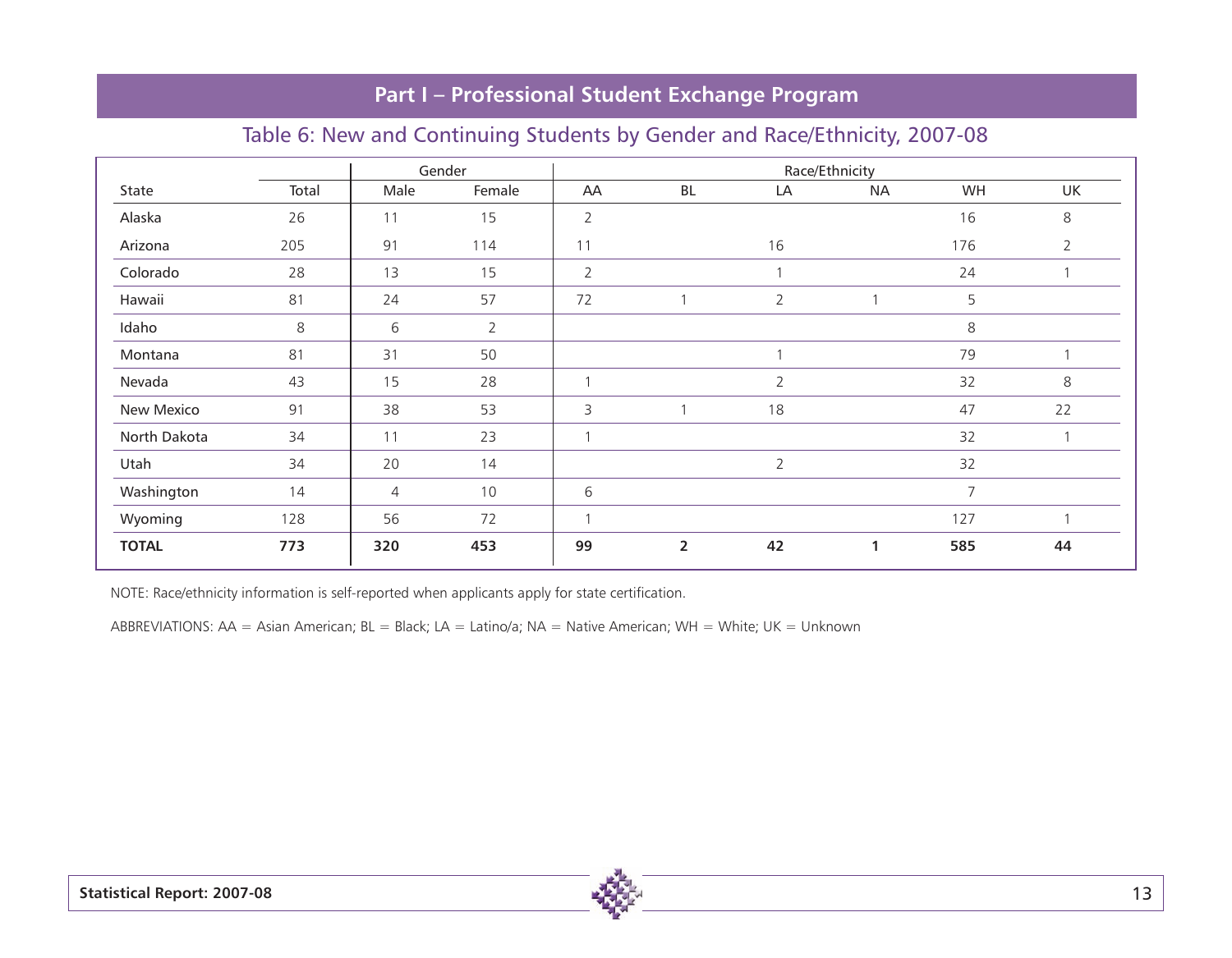| Total | Male           | Female         | AA             | BL             | LA             | <b>NA</b>    | WH             | UK             |
|-------|----------------|----------------|----------------|----------------|----------------|--------------|----------------|----------------|
| 26    | 11             | 15             | $\overline{2}$ |                |                |              | 16             | 8              |
| 205   | 91             | 114            | 11             |                | 16             |              | 176            | $\overline{2}$ |
| 28    | 13             | 15             | $\overline{2}$ |                |                |              | 24             | 1              |
| 81    | 24             | 57             | 72             |                | $\overline{2}$ |              | 5              |                |
| 8     | 6              | $\overline{2}$ |                |                |                |              | 8              |                |
| 81    | 31             | 50             |                |                |                |              | 79             | 1              |
| 43    | 15             | 28             |                |                | $\overline{2}$ |              | 32             | 8              |
| 91    | 38             | 53             | 3              |                | 18             |              | 47             | 22             |
| 34    | 11             | 23             | $\mathbf{A}$   |                |                |              | 32             | 1              |
| 34    | 20             | 14             |                |                | 2              |              | 32             |                |
| 14    | $\overline{4}$ | $10$           | 6              |                |                |              | $\overline{7}$ |                |
| 128   | 56             | 72             |                |                |                |              | 127            | 1              |
| 773   | 320            | 453            | 99             | $\overline{2}$ | 42             | $\mathbf{1}$ | 585            | 44             |
|       |                |                | Gender         |                |                |              | Race/Ethnicity |                |

### Table 6: New and Continuing Students by Gender and Race/Ethnicity, 2007-08

NOTE: Race/ethnicity information is self-reported when applicants apply for state certification.

ABBREVIATIONS: AA = Asian American; BL = Black; LA = Latino/a; NA = Native American; WH = White; UK = Unknown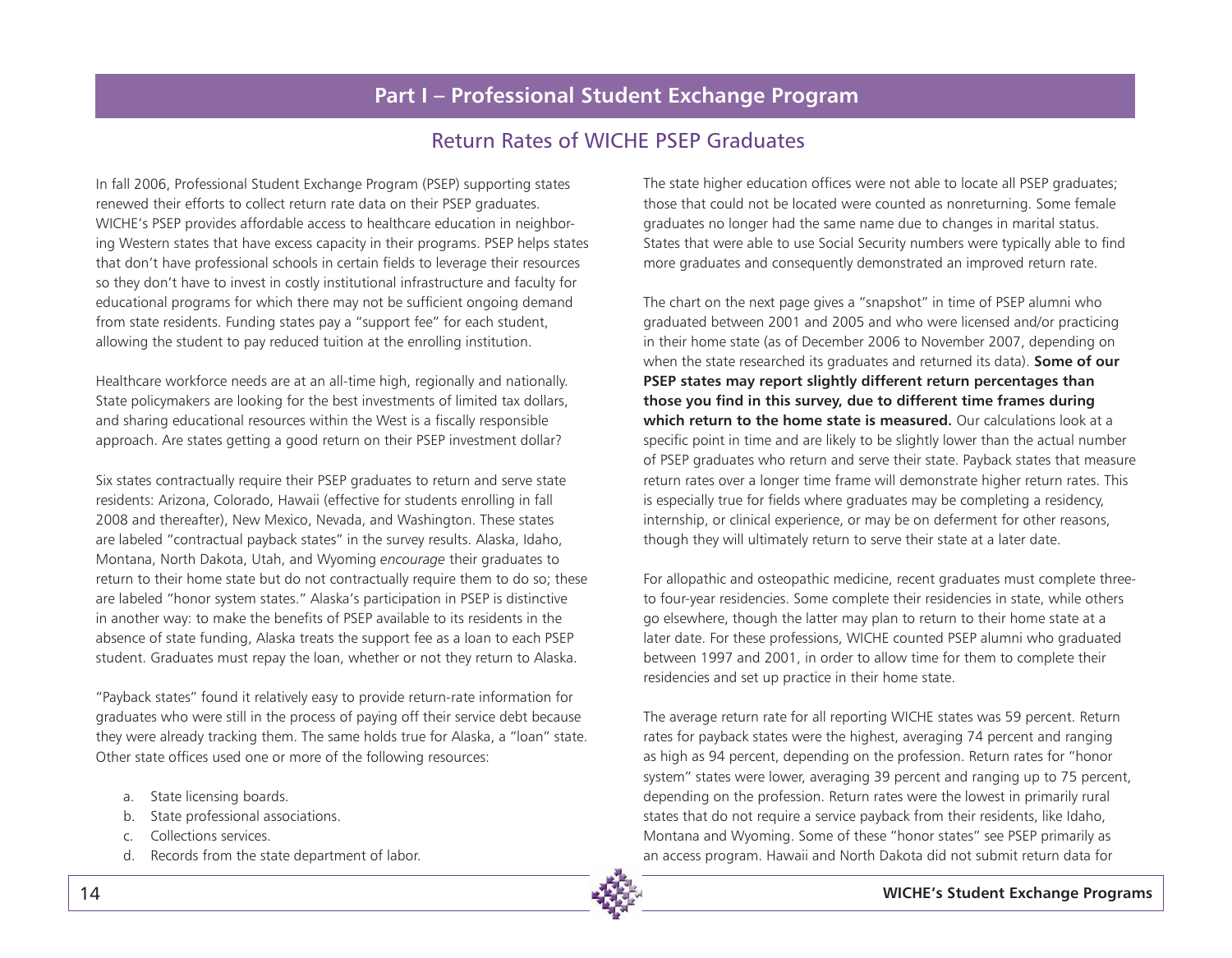### Return Rates of WICHE PSEP Graduates

In fall 2006, Professional Student Exchange Program (PSEP) supporting states renewed their efforts to collect return rate data on their PSEP graduates. WICHE's PSEP provides affordable access to healthcare education in neighboring Western states that have excess capacity in their programs. PSEP helps states that don't have professional schools in certain fields to leverage their resources so they don't have to invest in costly institutional infrastructure and faculty for educational programs for which there may not be sufficient ongoing demand from state residents. Funding states pay a "support fee" for each student, allowing the student to pay reduced tuition at the enrolling institution.

Healthcare workforce needs are at an all-time high, regionally and nationally. State policymakers are looking for the best investments of limited tax dollars, and sharing educational resources within the West is a fiscally responsible approach. Are states getting a good return on their PSEP investment dollar?

Six states contractually require their PSEP graduates to return and serve state residents: Arizona, Colorado, Hawaii (effective for students enrolling in fall 2008 and thereafter), New Mexico, Nevada, and Washington. These states are labeled "contractual payback states" in the survey results. Alaska, Idaho, Montana, North Dakota, Utah, and Wyoming *encourage* their graduates to return to their home state but do not contractually require them to do so; these are labeled "honor system states." Alaska's participation in PSEP is distinctive in another way: to make the benefits of PSEP available to its residents in the absence of state funding, Alaska treats the support fee as a loan to each PSEP student. Graduates must repay the loan, whether or not they return to Alaska.

"Payback states" found it relatively easy to provide return-rate information for graduates who were still in the process of paying off their service debt because they were already tracking them. The same holds true for Alaska, a "loan" state. Other state offices used one or more of the following resources:

- a. State licensing boards.
- b. State professional associations.
- c. Collections services.
- d. Records from the state department of labor.

The state higher education offices were not able to locate all PSEP graduates; those that could not be located were counted as nonreturning. Some female graduates no longer had the same name due to changes in marital status. States that were able to use Social Security numbers were typically able to find more graduates and consequently demonstrated an improved return rate.

The chart on the next page gives a "snapshot" in time of PSEP alumni who graduated between 2001 and 2005 and who were licensed and/or practicing in their home state (as of December 2006 to November 2007, depending on when the state researched its graduates and returned its data). **Some of our PSEP states may report slightly different return percentages than those you find in this survey, due to different time frames during which return to the home state is measured.** Our calculations look at a specific point in time and are likely to be slightly lower than the actual number of PSEP graduates who return and serve their state. Payback states that measure return rates over a longer time frame will demonstrate higher return rates. This is especially true for fields where graduates may be completing a residency, internship, or clinical experience, or may be on deferment for other reasons, though they will ultimately return to serve their state at a later date.

For allopathic and osteopathic medicine, recent graduates must complete threeto four-year residencies. Some complete their residencies in state, while others go elsewhere, though the latter may plan to return to their home state at a later date. For these professions, WICHE counted PSEP alumni who graduated between 1997 and 2001, in order to allow time for them to complete their residencies and set up practice in their home state.

The average return rate for all reporting WICHE states was 59 percent. Return rates for payback states were the highest, averaging 74 percent and ranging as high as 94 percent, depending on the profession. Return rates for "honor system" states were lower, averaging 39 percent and ranging up to 75 percent, depending on the profession. Return rates were the lowest in primarily rural states that do not require a service payback from their residents, like Idaho, Montana and Wyoming. Some of these "honor states" see PSEP primarily as an access program. Hawaii and North Dakota did not submit return data for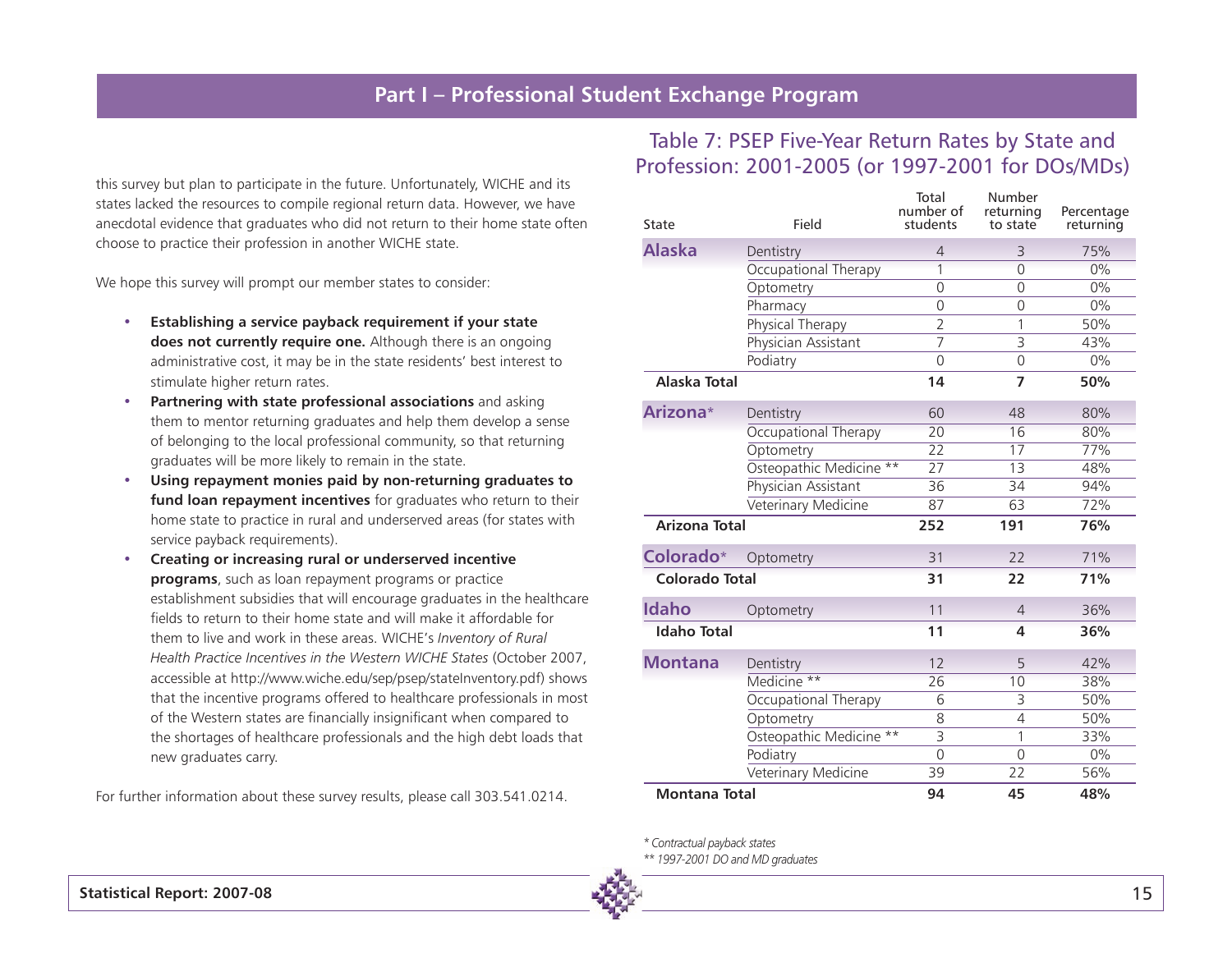this survey but plan to participate in the future. Unfortunately, WICHE and its states lacked the resources to compile regional return data. However, we have anecdotal evidence that graduates who did not return to their home state often choose to practice their profession in another WICHE state.

We hope this survey will prompt our member states to consider:

- **• Establishing a service payback requirement if your state does not currently require one.** Although there is an ongoing administrative cost, it may be in the state residents' best interest to stimulate higher return rates.
- **• Partnering with state professional associations** and asking them to mentor returning graduates and help them develop a sense of belonging to the local professional community, so that returning graduates will be more likely to remain in the state.
- **• Using repayment monies paid by non-returning graduates to fund loan repayment incentives** for graduates who return to their home state to practice in rural and underserved areas (for states with service payback requirements).
- **• Creating or increasing rural or underserved incentive programs**, such as loan repayment programs or practice establishment subsidies that will encourage graduates in the healthcare fields to return to their home state and will make it affordable for them to live and work in these areas. WICHE's *Inventory of Rural Health Practice Incentives in the Western WICHE States* (October 2007, accessible at http://www.wiche.edu/sep/psep/stateInventory.pdf) shows that the incentive programs offered to healthcare professionals in most of the Western states are financially insignificant when compared to the shortages of healthcare professionals and the high debt loads that new graduates carry.

For further information about these survey results, please call 303.541.0214.

### Table 7: PSEP Five-Year Return Rates by State and Profession: 2001-2005 (or 1997-2001 for DOs/MDs)

| State                 | Field                   | Total<br>number of<br>students | Number<br>returning<br>to state | Percentage<br>returning |
|-----------------------|-------------------------|--------------------------------|---------------------------------|-------------------------|
| <b>Alaska</b>         | Dentistry               | 4                              | 3                               | 75%                     |
|                       | Occupational Therapy    | 1                              | $\Omega$                        | 0%                      |
|                       | Optometry               | $\Omega$                       | $\Omega$                        | $0\%$                   |
|                       | Pharmacy                | $\overline{0}$                 | $\overline{0}$                  | $0\%$                   |
|                       | Physical Therapy        | $\overline{2}$                 | 1                               | 50%                     |
|                       | Physician Assistant     | $\overline{7}$                 | $\overline{\mathbf{3}}$         | 43%                     |
|                       | Podiatry                | $\Omega$                       | $\overline{0}$                  | $0\%$                   |
| Alaska Total          |                         | 14                             | $\overline{7}$                  | 50%                     |
| Arizona*              | Dentistry               | 60                             | 48                              | 80%                     |
|                       | Occupational Therapy    | 20                             | 16                              | 80%                     |
|                       | Optometry               | $\overline{22}$                | $\overline{17}$                 | 77%                     |
|                       | Osteopathic Medicine ** | $\overline{27}$                | 13                              | 48%                     |
|                       | Physician Assistant     | 36                             | 34                              | 94%                     |
|                       | Veterinary Medicine     | 87                             | 63                              | 72%                     |
| <b>Arizona Total</b>  |                         | 252                            | 191                             | 76%                     |
| Colorado*             | Optometry               | 31                             | 22                              | 71%                     |
| <b>Colorado Total</b> |                         | 31                             | 22                              | 71%                     |
| <b>Idaho</b>          | Optometry               | 11                             | $\overline{4}$                  | 36%                     |
| <b>Idaho Total</b>    |                         | 11                             | 4                               | 36%                     |
| <b>Montana</b>        | Dentistry               | 12                             | 5                               | 42%                     |
|                       | Medicine **             | 26                             | 10                              | 38%                     |
|                       | Occupational Therapy    | 6                              | 3                               | 50%                     |
|                       | Optometry               | 8                              | $\overline{4}$                  | 50%                     |
|                       | Osteopathic Medicine ** | $\overline{3}$                 | 1                               | 33%                     |
|                       | Podiatry                | $\overline{0}$                 | $\overline{0}$                  | $0\%$                   |
|                       | Veterinary Medicine     | 39                             | 22                              | 56%                     |
| <b>Montana Total</b>  |                         | 94                             | 45                              | 48%                     |

*\* Contractual payback states*

*\*\* 1997-2001 DO and MD graduates*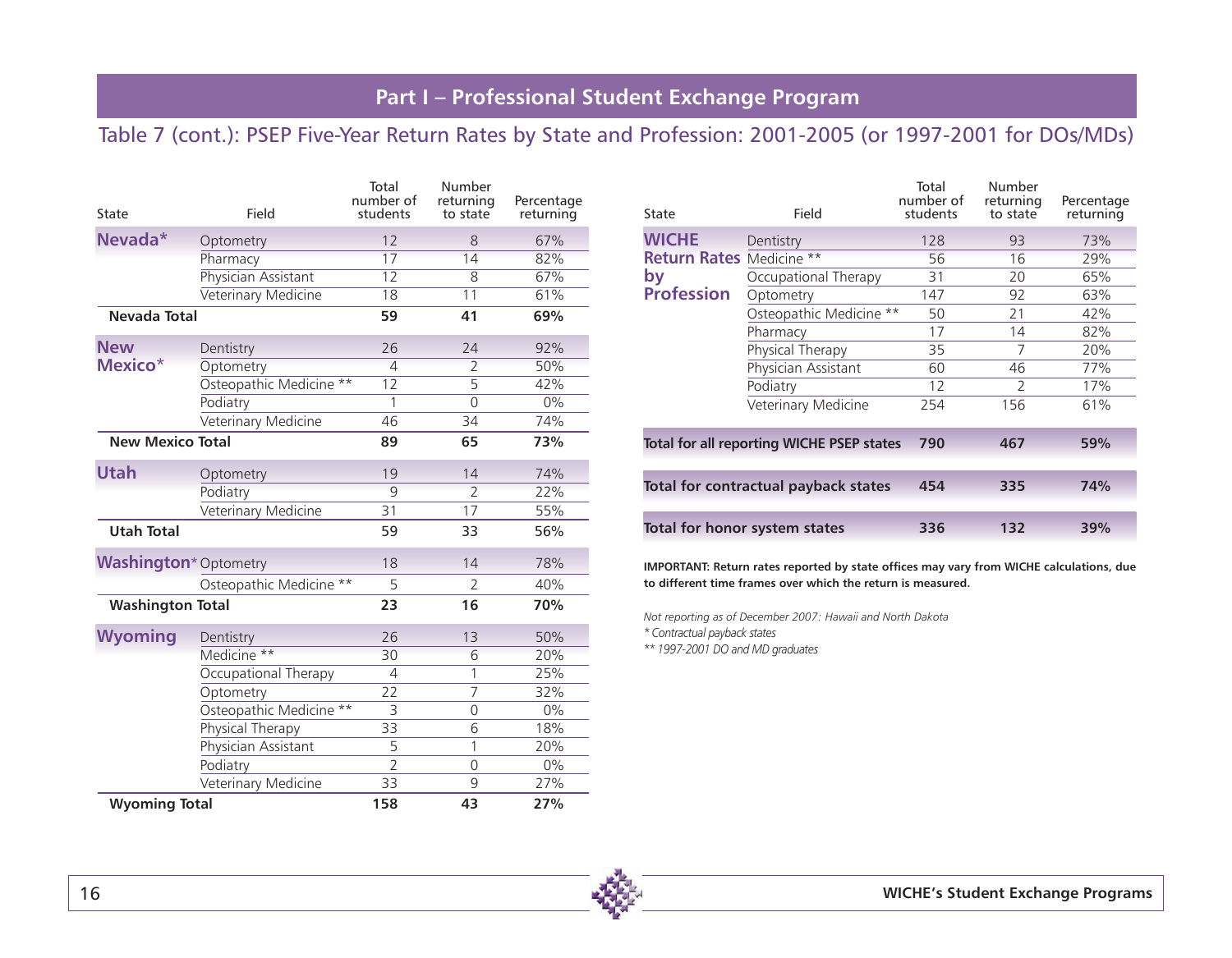### Table 7 (cont.): PSEP Five-Year Return Rates by State and Profession: 2001-2005 (or 1997-2001 for DOs/MDs)

| State                         | Field                   | Total<br>number of<br>students | Number<br>returning<br>to state | Percentage<br>returning |  |  |
|-------------------------------|-------------------------|--------------------------------|---------------------------------|-------------------------|--|--|
| Nevada*                       | Optometry               | 12                             | 8                               | 67%                     |  |  |
|                               | Pharmacy                | 17                             | 14                              | 82%                     |  |  |
|                               | Physician Assistant     | $\overline{12}$                | 8                               | 67%                     |  |  |
|                               | Veterinary Medicine     | 18                             | 11                              | 61%                     |  |  |
| Nevada Total                  |                         | 59                             | 41                              | 69%                     |  |  |
| <b>New</b>                    | Dentistry               | 26                             | 24                              | 92%                     |  |  |
| Mexico <sup>*</sup>           | Optometry               | $\overline{4}$                 | $\overline{2}$                  | 50%                     |  |  |
|                               | Osteopathic Medicine    | $\overline{12}$                | $\overline{5}$                  | 42%                     |  |  |
|                               | Podiatry                | 1                              | 0                               | $0\%$                   |  |  |
|                               | Veterinary Medicine     | 46                             | 34                              | 74%                     |  |  |
| <b>New Mexico Total</b>       |                         | 89                             | 65                              | 73%                     |  |  |
| <b>Utah</b>                   | Optometry               | 19                             | 14                              | 74%                     |  |  |
|                               | Podiatry                | 9                              | $\overline{2}$                  | 22%                     |  |  |
|                               | Veterinary Medicine     | 31                             | $\overline{17}$                 | 55%                     |  |  |
| <b>Utah Total</b>             |                         | 59                             | 33                              | 56%                     |  |  |
| <b>Washington</b> * Optometry |                         | 18                             | 14                              | 78%                     |  |  |
|                               | Osteopathic Medicine ** | 5                              | $\overline{2}$                  | 40%                     |  |  |
| <b>Washington Total</b>       |                         | 23                             | 16                              | 70%                     |  |  |
| <b>Wyoming</b>                | Dentistry               | 26                             | 13                              | 50%                     |  |  |
|                               | Medicine **             | 30                             | 6                               | 20%                     |  |  |
|                               | Occupational Therapy    | $\overline{4}$                 | 1                               | 25%                     |  |  |
|                               | Optometry               | 22                             | $\overline{7}$                  | 32%                     |  |  |
|                               | Osteopathic Medicine ** | 3                              | 0                               | $0\%$                   |  |  |
|                               | Physical Therapy        | 33                             | 6                               | 18%                     |  |  |
|                               | Physician Assistant     | 5                              | 1                               | 20%                     |  |  |
|                               | Podiatry                | $\overline{2}$                 | 0                               | $0\%$                   |  |  |
|                               | Veterinary Medicine     | 33                             | 9                               | 27%                     |  |  |
| <b>Wyoming Total</b>          |                         | 158                            | 43                              | 27%                     |  |  |

| State                           | Field                                            | Total<br>number of<br>students | Number<br>returning<br>to state | Percentage<br>returning |
|---------------------------------|--------------------------------------------------|--------------------------------|---------------------------------|-------------------------|
| <b>WICHE</b>                    | Dentistry                                        | 128                            | 93                              | 73%                     |
| <b>Return Rates Medicine **</b> |                                                  | 56                             | 16                              | 29%                     |
| by                              | Occupational Therapy                             | 31                             | 20                              | 65%                     |
| <b>Profession</b>               | Optometry                                        | 147                            | 92                              | 63%                     |
|                                 | Osteopathic Medicine **                          | 50                             | 21                              | 42%                     |
|                                 | Pharmacy                                         | 17                             | 14                              | 82%                     |
|                                 | Physical Therapy                                 | 35                             | 7                               | 20%                     |
|                                 | Physician Assistant                              | 60                             | 46                              | 77%                     |
|                                 | Podiatry                                         | 12                             | $\mathcal{P}$                   | 17%                     |
|                                 | Veterinary Medicine                              | 254                            | 156                             | 61%                     |
|                                 | <b>Total for all reporting WICHE PSEP states</b> | 790                            | 467                             | 59%                     |
|                                 | Total for contractual payback states             | 454                            | 335                             | 74%                     |
|                                 | Total for honor system states                    | 336                            | 132                             | 39%                     |

**IMPORTANT: Return rates reported by state offices may vary from WICHE calculations, due to different time frames over which the return is measured.**

*Not reporting as of December 2007: Hawaii and North Dakota*

*\* Contractual payback states*

*\*\* 1997-2001 DO and MD graduates*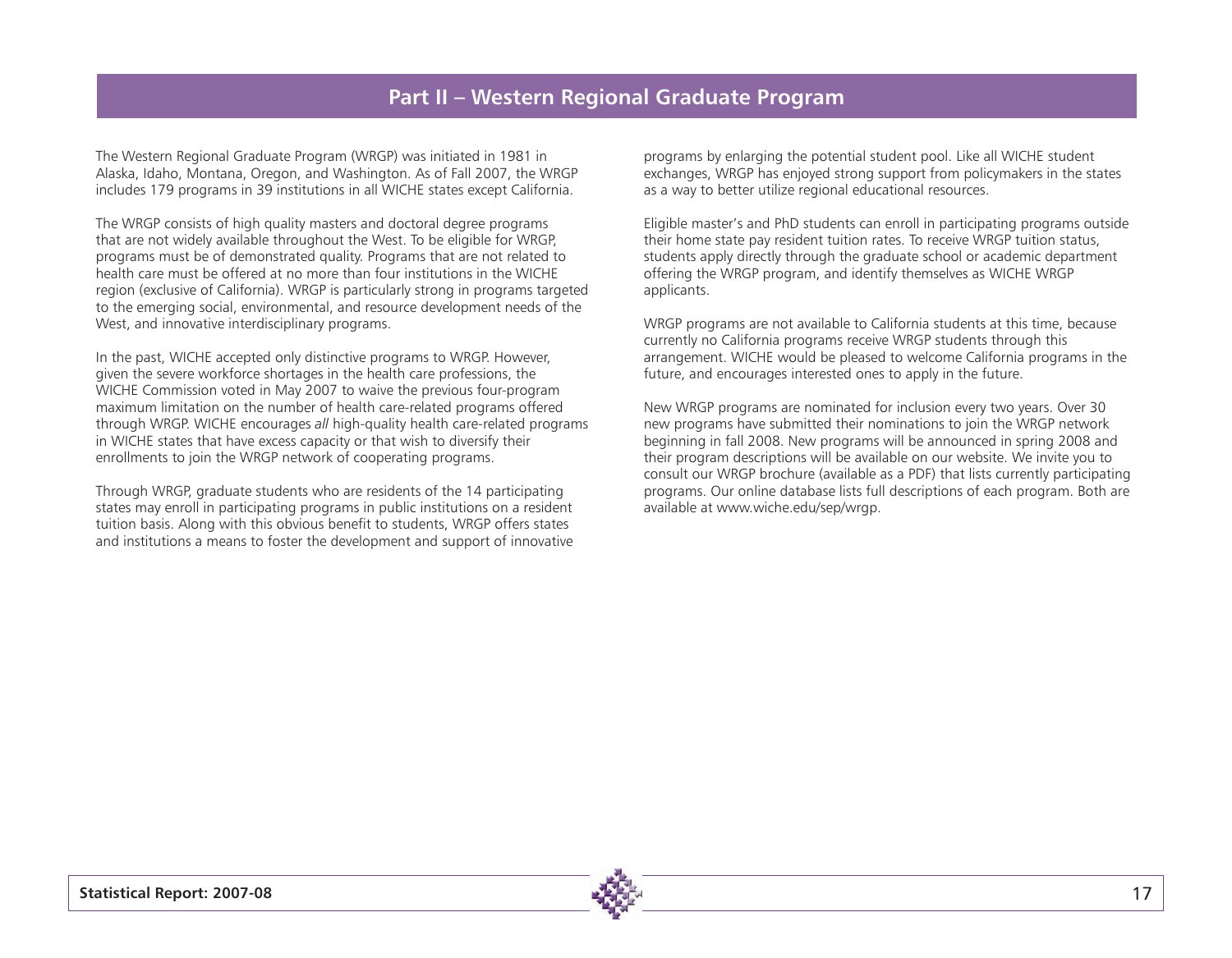### **Part II – Western Regional Graduate Program**

The Western Regional Graduate Program (WRGP) was initiated in 1981 in Alaska, Idaho, Montana, Oregon, and Washington. As of Fall 2007, the WRGP includes 179 programs in 39 institutions in all WICHE states except California.

The WRGP consists of high quality masters and doctoral degree programs that are not widely available throughout the West. To be eligible for WRGP, programs must be of demonstrated quality. Programs that are not related to health care must be offered at no more than four institutions in the WICHE region (exclusive of California). WRGP is particularly strong in programs targeted to the emerging social, environmental, and resource development needs of the West, and innovative interdisciplinary programs.

In the past, WICHE accepted only distinctive programs to WRGP. However, given the severe workforce shortages in the health care professions, the WICHE Commission voted in May 2007 to waive the previous four-program maximum limitation on the number of health care-related programs offered through WRGP. WICHE encourages *all* high-quality health care-related programs in WICHE states that have excess capacity or that wish to diversify their enrollments to join the WRGP network of cooperating programs.

Through WRGP, graduate students who are residents of the 14 participating states may enroll in participating programs in public institutions on a resident tuition basis. Along with this obvious benefit to students, WRGP offers states and institutions a means to foster the development and support of innovative

programs by enlarging the potential student pool. Like all WICHE student exchanges, WRGP has enjoyed strong support from policymakers in the states as a way to better utilize regional educational resources.

Eligible master's and PhD students can enroll in participating programs outside their home state pay resident tuition rates. To receive WRGP tuition status, students apply directly through the graduate school or academic department offering the WRGP program, and identify themselves as WICHE WRGP applicants.

WRGP programs are not available to California students at this time, because currently no California programs receive WRGP students through this arrangement. WICHE would be pleased to welcome California programs in the future, and encourages interested ones to apply in the future.

New WRGP programs are nominated for inclusion every two years. Over 30 new programs have submitted their nominations to join the WRGP network beginning in fall 2008. New programs will be announced in spring 2008 and their program descriptions will be available on our website. We invite you to consult our WRGP brochure (available as a PDF) that lists currently participating programs. Our online database lists full descriptions of each program. Both are available at www.wiche.edu/sep/wrgp.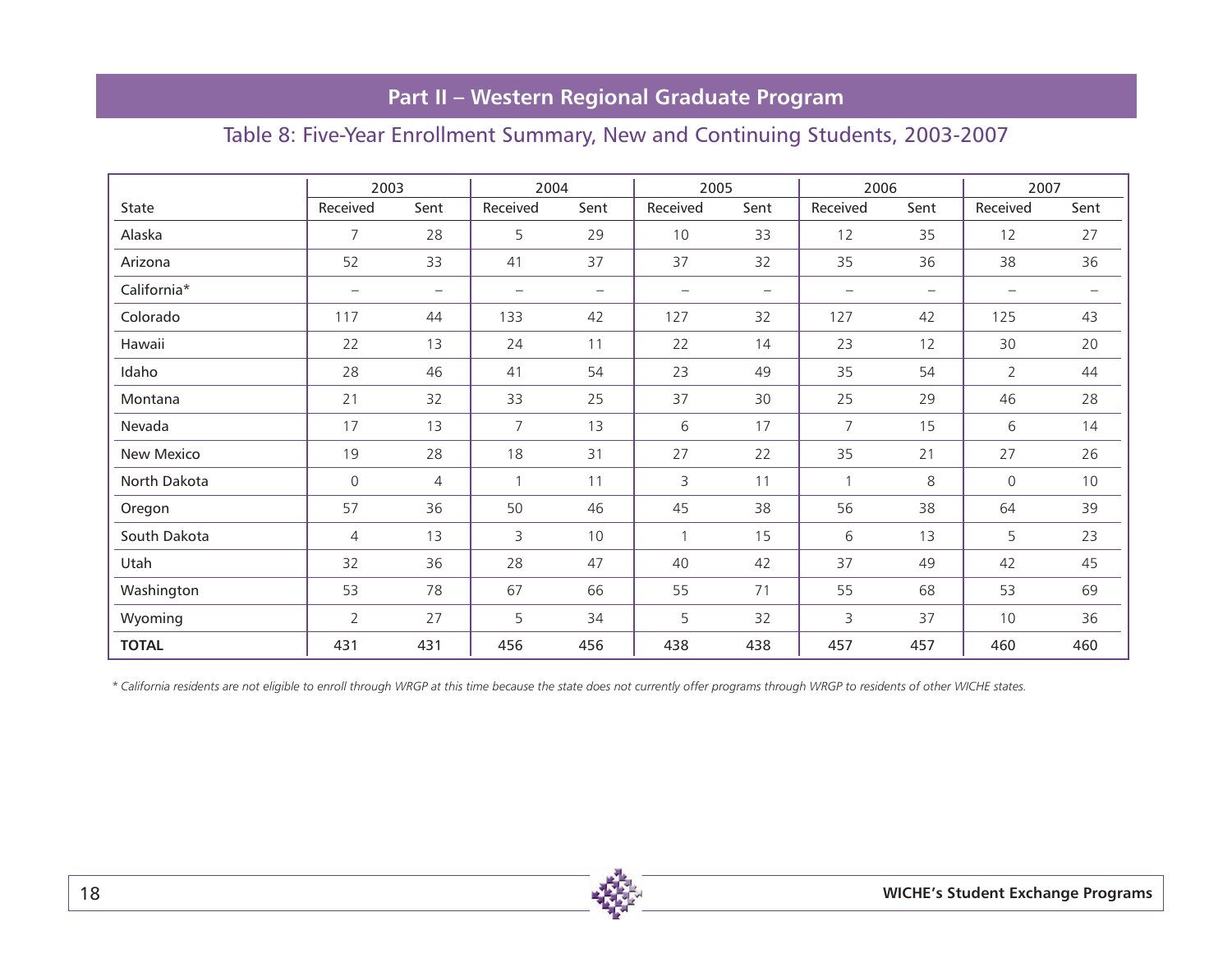# **Part II – Western Regional Graduate Program**

### Table 8: Five-Year Enrollment Summary, New and Continuing Students, 2003-2007

|              | 2003                     |                   | 2004              |                          | 2005              |                   | 2006              |                   | 2007              |                   |
|--------------|--------------------------|-------------------|-------------------|--------------------------|-------------------|-------------------|-------------------|-------------------|-------------------|-------------------|
| State        | Received                 | Sent              | Received          | Sent                     | Received          | Sent              | Received          | Sent              | Received          | Sent              |
| Alaska       | $\overline{7}$           | 28                | 5                 | 29                       | 10                | 33                | 12                | 35                | 12                | 27                |
| Arizona      | 52                       | 33                | 41                | 37                       | 37                | 32                | 35                | 36                | 38                | 36                |
| California*  | $\overline{\phantom{m}}$ | $\qquad \qquad -$ | $\qquad \qquad -$ | $\overline{\phantom{0}}$ | $\qquad \qquad -$ | $\qquad \qquad -$ | $\qquad \qquad -$ | $\qquad \qquad -$ | $\qquad \qquad -$ | $\qquad \qquad -$ |
| Colorado     | 117                      | 44                | 133               | 42                       | 127               | 32                | 127               | 42                | 125               | 43                |
| Hawaii       | 22                       | 13                | 24                | 11                       | 22                | 14                | 23                | 12                | 30                | 20                |
| Idaho        | 28                       | 46                | 41                | 54                       | 23                | 49                | 35                | 54                | $\overline{2}$    | 44                |
| Montana      | 21                       | 32                | 33                | 25                       | 37                | 30                | 25                | 29                | 46                | 28                |
| Nevada       | 17                       | 13                | $\overline{7}$    | 13                       | 6                 | 17                | $\overline{7}$    | 15                | 6                 | 14                |
| New Mexico   | 19                       | 28                | 18                | 31                       | 27                | 22                | 35                | 21                | 27                | 26                |
| North Dakota | 0                        | $\overline{4}$    | $\mathbf{1}$      | 11                       | 3                 | 11                | $\mathbf{1}$      | 8                 | $\mathsf{O}$      | 10                |
| Oregon       | 57                       | 36                | 50                | 46                       | 45                | 38                | 56                | 38                | 64                | 39                |
| South Dakota | 4                        | 13                | 3                 | 10                       | $\mathbf{1}$      | 15                | 6                 | 13                | 5                 | 23                |
| Utah         | 32                       | 36                | 28                | 47                       | 40                | 42                | 37                | 49                | 42                | 45                |
| Washington   | 53                       | 78                | 67                | 66                       | 55                | 71                | 55                | 68                | 53                | 69                |
| Wyoming      | $\mathbf{2}^{\prime}$    | 27                | 5                 | 34                       | 5                 | 32                | 3                 | 37                | 10                | 36                |
| <b>TOTAL</b> | 431                      | 431               | 456               | 456                      | 438               | 438               | 457               | 457               | 460               | 460               |

*\* California residents are not eligible to enroll through WRGP at this time because the state does not currently offer programs through WRGP to residents of other WICHE states.*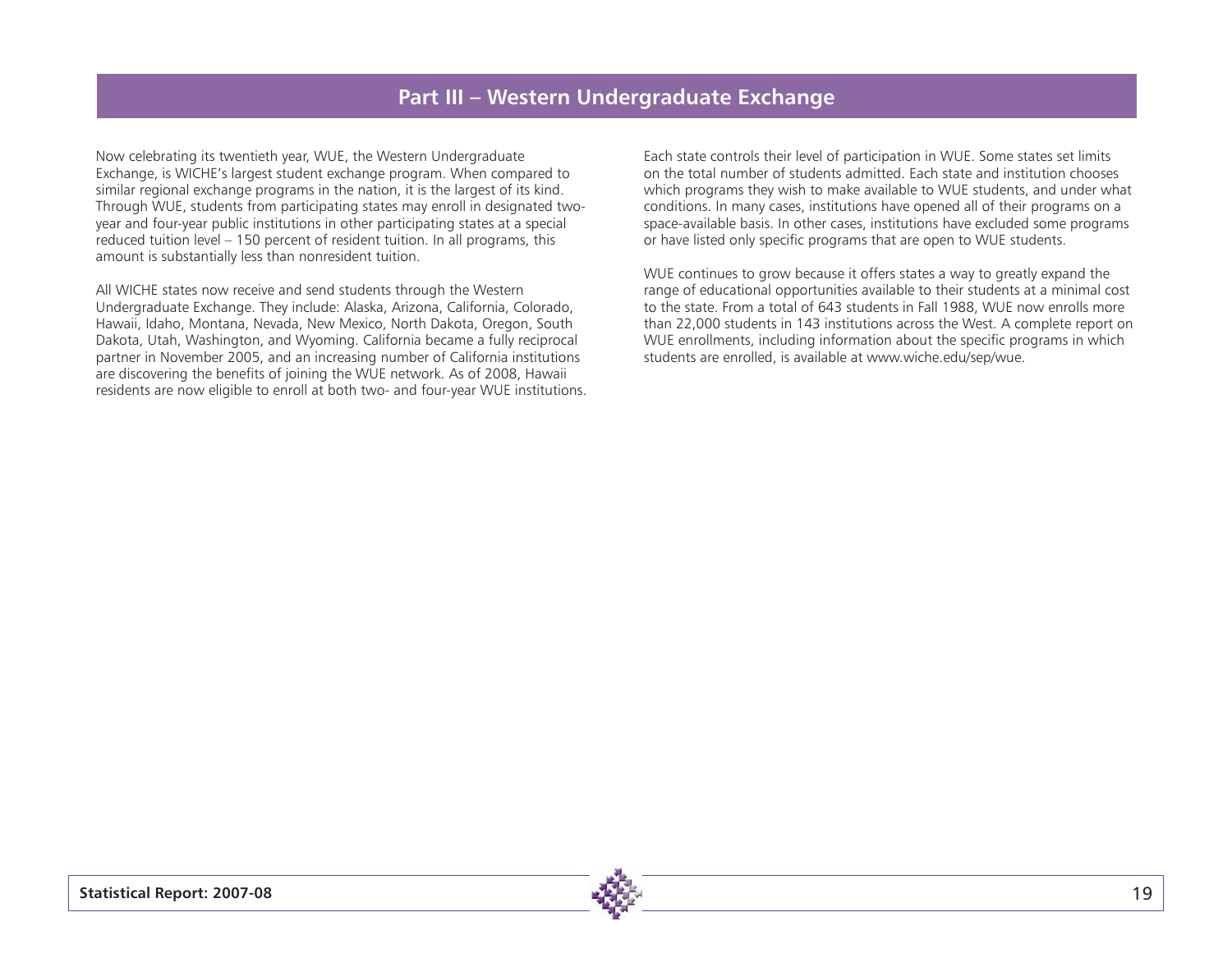### **Part III – Western Undergraduate Exchange**

Now celebrating its twentieth year, WUE, the Western Undergraduate Exchange, is WICHE's largest student exchange program. When compared to similar regional exchange programs in the nation, it is the largest of its kind. Through WUE, students from participating states may enroll in designated twoyear and four-year public institutions in other participating states at a special reduced tuition level – 150 percent of resident tuition. In all programs, this amount is substantially less than nonresident tuition.

All WICHE states now receive and send students through the Western Undergraduate Exchange. They include: Alaska, Arizona, California, Colorado, Hawaii, Idaho, Montana, Nevada, New Mexico, North Dakota, Oregon, South Dakota, Utah, Washington, and Wyoming. California became a fully reciprocal partner in November 2005, and an increasing number of California institutions are discovering the benefits of joining the WUE network. As of 2008, Hawaii residents are now eligible to enroll at both two- and four-year WUE institutions.

Each state controls their level of participation in WUE. Some states set limits on the total number of students admitted. Each state and institution chooses which programs they wish to make available to WUE students, and under what conditions. In many cases, institutions have opened all of their programs on a space-available basis. In other cases, institutions have excluded some programs or have listed only specific programs that are open to WUE students.

WUE continues to grow because it offers states a way to greatly expand the range of educational opportunities available to their students at a minimal cost to the state. From a total of 643 students in Fall 1988, WUE now enrolls more than 22,000 students in 143 institutions across the West. A complete report on WUE enrollments, including information about the specific programs in which students are enrolled, is available at www.wiche.edu/sep/wue.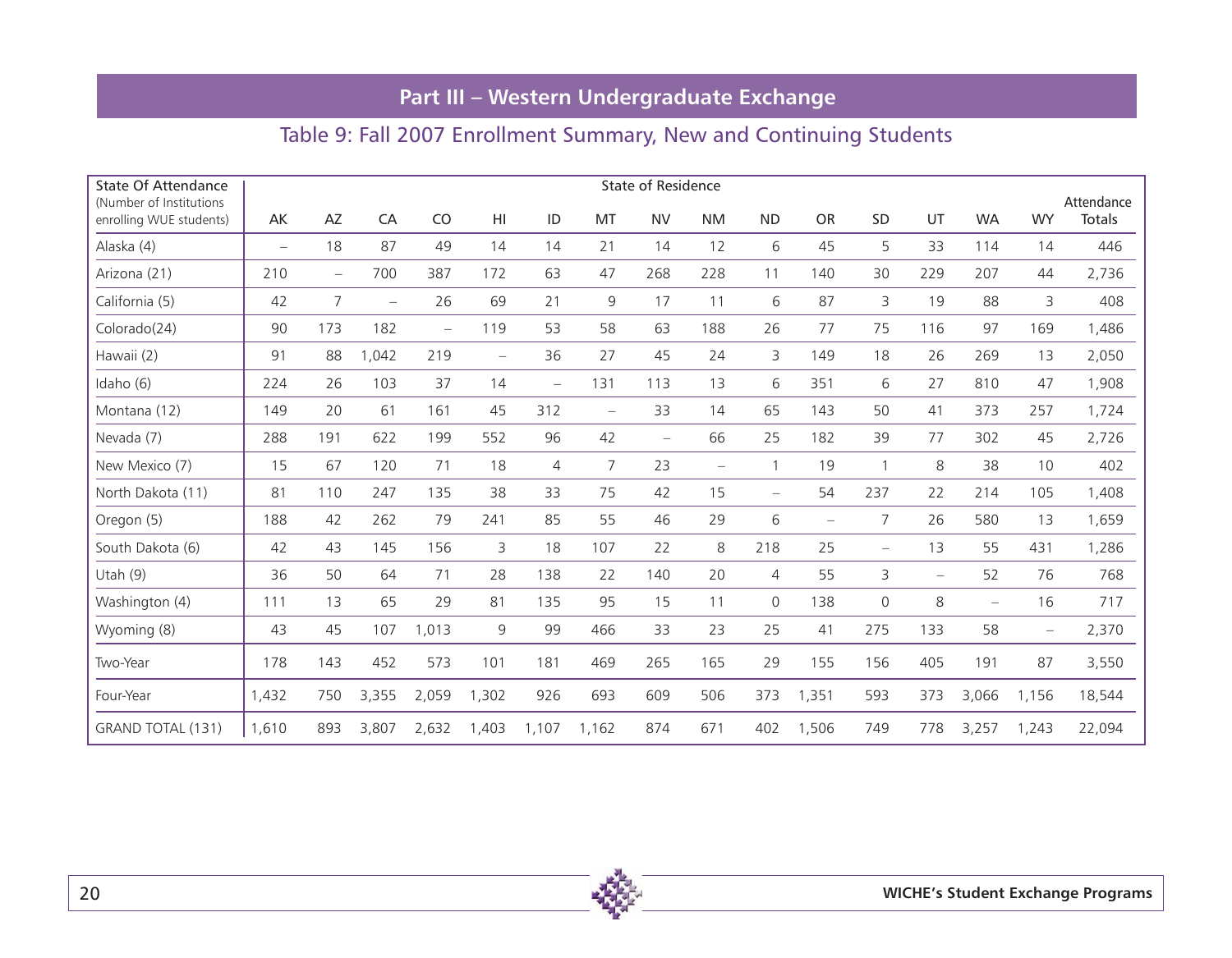# **Part III – Western Undergraduate Exchange**

# Table 9: Fall 2007 Enrollment Summary, New and Continuing Students

| <b>State Of Attendance</b><br>(Number of Institutions) | <b>State of Residence</b> |                          |                          |                          |                          |                          |                   |                          |                          | Attendance               |                          |                          |                          |                   |                          |        |
|--------------------------------------------------------|---------------------------|--------------------------|--------------------------|--------------------------|--------------------------|--------------------------|-------------------|--------------------------|--------------------------|--------------------------|--------------------------|--------------------------|--------------------------|-------------------|--------------------------|--------|
| enrolling WUE students)                                | AK                        | AZ                       | CA                       | CO                       | HI                       | ID                       | MT                | <b>NV</b>                | <b>NM</b>                | <b>ND</b>                | <b>OR</b>                | SD                       | UT                       | <b>WA</b>         | <b>WY</b>                | Totals |
| Alaska (4)                                             | $\overline{\phantom{m}}$  | 18                       | 87                       | 49                       | 14                       | 14                       | 21                | 14                       | 12                       | 6                        | 45                       | 5                        | 33                       | 114               | 14                       | 446    |
| Arizona (21)                                           | 210                       | $\overline{\phantom{0}}$ | 700                      | 387                      | 172                      | 63                       | 47                | 268                      | 228                      | 11                       | 140                      | 30                       | 229                      | 207               | 44                       | 2,736  |
| California (5)                                         | 42                        | $\overline{7}$           | $\overline{\phantom{m}}$ | 26                       | 69                       | 21                       | $\mathsf 9$       | 17                       | 11                       | 6                        | 87                       | 3                        | 19                       | 88                | 3                        | 408    |
| Colorado(24)                                           | 90                        | 173                      | 182                      | $\overline{\phantom{0}}$ | 119                      | 53                       | 58                | 63                       | 188                      | 26                       | 77                       | 75                       | 116                      | 97                | 169                      | 1,486  |
| Hawaii (2)                                             | 91                        | 88                       | 1,042                    | 219                      | $\overline{\phantom{0}}$ | 36                       | 27                | 45                       | 24                       | 3                        | 149                      | 18                       | 26                       | 269               | 13                       | 2,050  |
| Idaho (6)                                              | 224                       | 26                       | 103                      | 37                       | 14                       | $\overline{\phantom{0}}$ | 131               | 113                      | 13                       | 6                        | 351                      | 6                        | 27                       | 810               | 47                       | 1,908  |
| Montana (12)                                           | 149                       | 20                       | 61                       | 161                      | 45                       | 312                      | $\qquad \qquad -$ | 33                       | 14                       | 65                       | 143                      | 50                       | 41                       | 373               | 257                      | 1,724  |
| Nevada (7)                                             | 288                       | 191                      | 622                      | 199                      | 552                      | 96                       | 42                | $\overline{\phantom{0}}$ | 66                       | 25                       | 182                      | 39                       | 77                       | 302               | 45                       | 2,726  |
| New Mexico (7)                                         | 15                        | 67                       | 120                      | 71                       | 18                       | 4                        | 7                 | 23                       | $\overline{\phantom{m}}$ | $\mathbf{1}$             | 19                       | $\mathbf{1}$             | 8                        | 38                | 10                       | 402    |
| North Dakota (11)                                      | 81                        | 110                      | 247                      | 135                      | 38                       | 33                       | 75                | 42                       | 15                       | $\overline{\phantom{0}}$ | 54                       | 237                      | 22                       | 214               | 105                      | 1,408  |
| Oregon (5)                                             | 188                       | 42                       | 262                      | 79                       | 241                      | 85                       | 55                | 46                       | 29                       | 6                        | $\overline{\phantom{m}}$ | 7                        | 26                       | 580               | 13                       | 1,659  |
| South Dakota (6)                                       | 42                        | 43                       | 145                      | 156                      | 3                        | 18                       | 107               | 22                       | 8                        | 218                      | 25                       | $\overline{\phantom{0}}$ | 13                       | 55                | 431                      | 1,286  |
| Utah $(9)$                                             | 36                        | 50                       | 64                       | 71                       | 28                       | 138                      | 22                | 140                      | 20                       | $\overline{4}$           | 55                       | 3                        | $\overline{\phantom{m}}$ | 52                | 76                       | 768    |
| Washington (4)                                         | 111                       | 13                       | 65                       | 29                       | 81                       | 135                      | 95                | 15                       | 11                       | $\mathbf{0}$             | 138                      | $\mathsf{O}$             | 8                        | $\qquad \qquad -$ | 16                       | 717    |
| Wyoming (8)                                            | 43                        | 45                       | 107                      | 1,013                    | 9                        | 99                       | 466               | 33                       | 23                       | 25                       | 41                       | 275                      | 133                      | 58                | $\overline{\phantom{m}}$ | 2,370  |
| Two-Year                                               | 178                       | 143                      | 452                      | 573                      | 101                      | 181                      | 469               | 265                      | 165                      | 29                       | 155                      | 156                      | 405                      | 191               | 87                       | 3,550  |
| Four-Year                                              | 1,432                     | 750                      | 3,355                    | 2,059                    | 1,302                    | 926                      | 693               | 609                      | 506                      | 373                      | 1,351                    | 593                      | 373                      | 3,066             | 1,156                    | 18,544 |
| GRAND TOTAL (131)                                      | 1,610                     | 893                      | 3,807                    | 2,632                    | 1,403                    | 1,107                    | 1,162             | 874                      | 671                      | 402                      | 1,506                    | 749                      | 778                      | 3,257             | 1,243                    | 22,094 |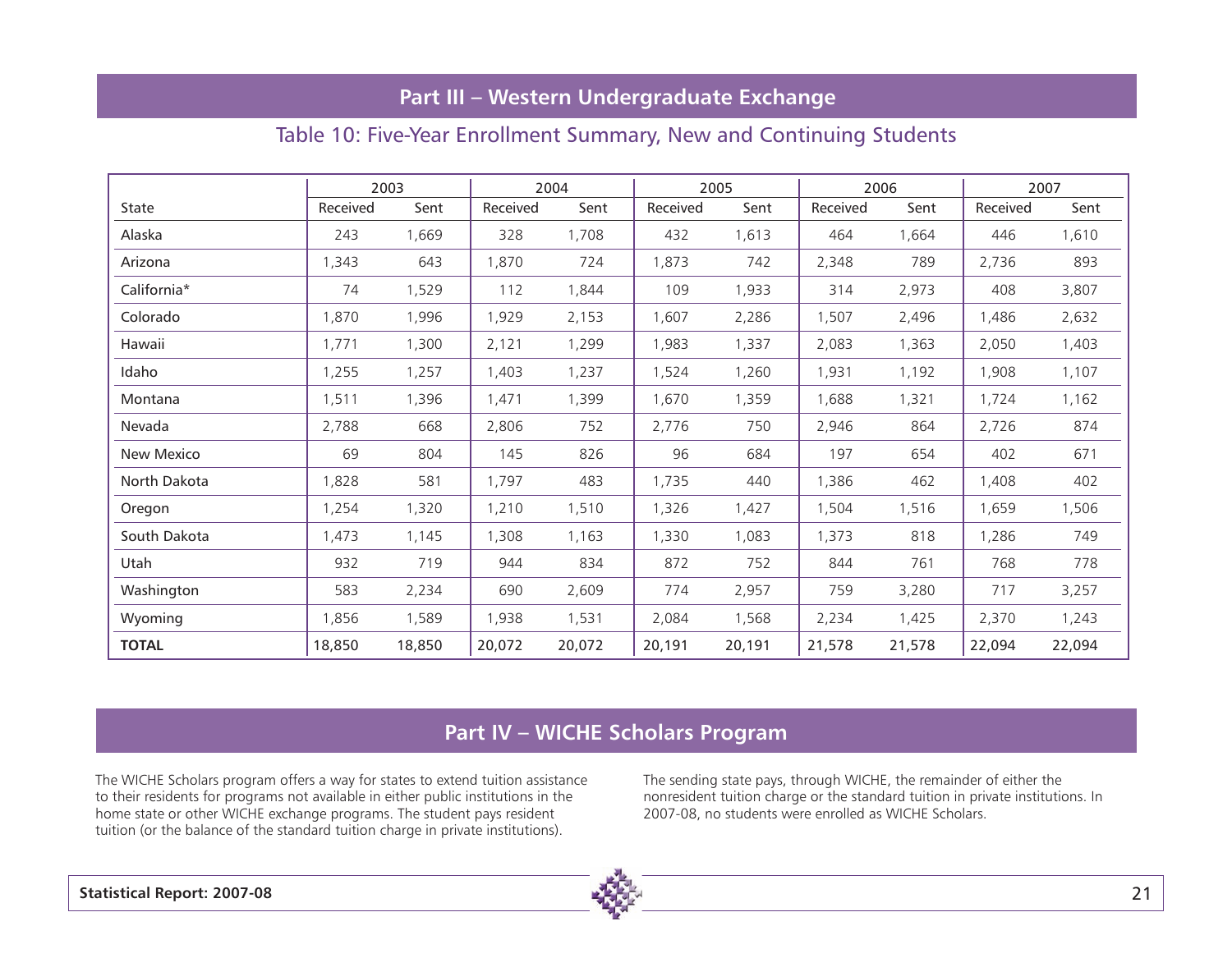### **Part III – Western Undergraduate Exchange**

### Table 10: Five-Year Enrollment Summary, New and Continuing Students

|              | 2003     |        | 2004     |        | 2005     |        |          | 2006   | 2007     |        |  |
|--------------|----------|--------|----------|--------|----------|--------|----------|--------|----------|--------|--|
| <b>State</b> | Received | Sent   | Received | Sent   | Received | Sent   | Received | Sent   | Received | Sent   |  |
| Alaska       | 243      | 1,669  | 328      | 1,708  | 432      | 1,613  | 464      | 1,664  | 446      | 1,610  |  |
| Arizona      | 1,343    | 643    | 1,870    | 724    | 1,873    | 742    | 2,348    | 789    | 2,736    | 893    |  |
| California*  | 74       | 1,529  | 112      | 1,844  | 109      | 1,933  | 314      | 2,973  | 408      | 3,807  |  |
| Colorado     | 1,870    | 1,996  | 1,929    | 2,153  | 1,607    | 2,286  | 1,507    | 2,496  | 1,486    | 2,632  |  |
| Hawaii       | 1,771    | 1,300  | 2,121    | 1,299  | 1,983    | 1,337  | 2,083    | 1,363  | 2,050    | 1,403  |  |
| Idaho        | 1,255    | 1,257  | 1,403    | 1,237  | 1,524    | 1,260  | 1,931    | 1,192  | 1,908    | 1,107  |  |
| Montana      | 1,511    | 1,396  | 1,471    | 1,399  | 1,670    | 1,359  | 1,688    | 1,321  | 1,724    | 1,162  |  |
| Nevada       | 2,788    | 668    | 2,806    | 752    | 2,776    | 750    | 2,946    | 864    | 2,726    | 874    |  |
| New Mexico   | 69       | 804    | 145      | 826    | 96       | 684    | 197      | 654    | 402      | 671    |  |
| North Dakota | 1,828    | 581    | 1,797    | 483    | 1,735    | 440    | 1,386    | 462    | 1,408    | 402    |  |
| Oregon       | 1,254    | 1,320  | 1,210    | 1,510  | 1,326    | 1,427  | 1,504    | 1,516  | 1,659    | 1,506  |  |
| South Dakota | 1,473    | 1,145  | 1,308    | 1,163  | 1,330    | 1,083  | 1,373    | 818    | 1,286    | 749    |  |
| Utah         | 932      | 719    | 944      | 834    | 872      | 752    | 844      | 761    | 768      | 778    |  |
| Washington   | 583      | 2,234  | 690      | 2,609  | 774      | 2,957  | 759      | 3,280  | 717      | 3,257  |  |
| Wyoming      | 1,856    | 1,589  | 1,938    | 1,531  | 2,084    | 1,568  | 2,234    | 1,425  | 2,370    | 1,243  |  |
| <b>TOTAL</b> | 18,850   | 18,850 | 20,072   | 20,072 | 20,191   | 20,191 | 21,578   | 21,578 | 22,094   | 22,094 |  |

### **Part IV – WICHE Scholars Program**

The WICHE Scholars program offers a way for states to extend tuition assistance to their residents for programs not available in either public institutions in the home state or other WICHE exchange programs. The student pays resident tuition (or the balance of the standard tuition charge in private institutions).

The sending state pays, through WICHE, the remainder of either the nonresident tuition charge or the standard tuition in private institutions. In 2007-08, no students were enrolled as WICHE Scholars.